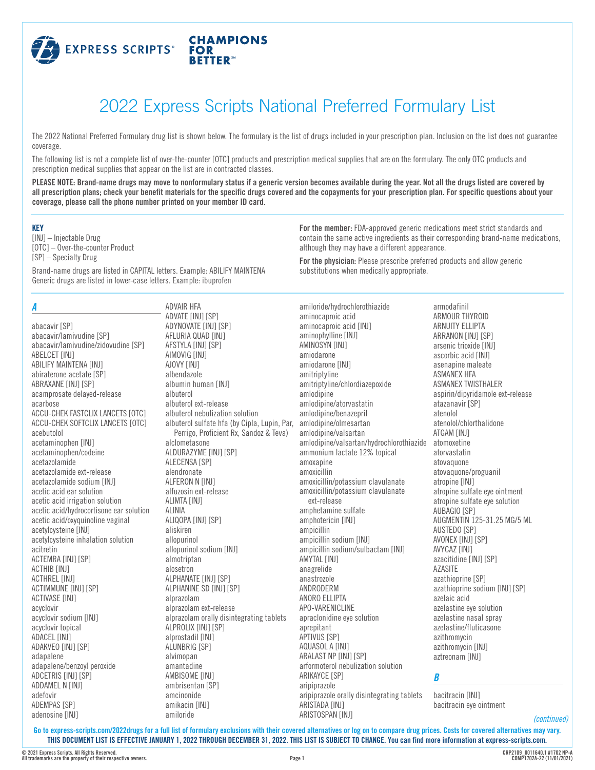

# 2022 Express Scripts National Preferred Formulary List

The 2022 National Preferred Formulary drug list is shown below. The formulary is the list of drugs included in your prescription plan. Inclusion on the list does not guarantee coverage.

The following list is not a complete list of over-the-counter [OTC] products and prescription medical supplies that are on the formulary. The only OTC products and prescription medical supplies that appear on the list are in contracted classes.

**PLEASE NOTE: Brand-name drugs may move to nonformulary status if a generic version becomes available during the year. Not all the drugs listed are covered by all prescription plans; check your benefit materials for the specific drugs covered and the copayments for your prescription plan. For specific questions about your coverage, please call the phone number printed on your member ID card.**

| <b>KEY</b><br>[INJ] - Injectable Drug<br>[OTC] - Over-the-counter Product                                                                                                |                                                                    | For the member: FDA-approved generic medications meet strict standards and<br>although they may have a different appearance. | contain the same active ingredients as their corresponding brand-name medications, |
|--------------------------------------------------------------------------------------------------------------------------------------------------------------------------|--------------------------------------------------------------------|------------------------------------------------------------------------------------------------------------------------------|------------------------------------------------------------------------------------|
| [SP] - Specialty Drug<br>Brand-name drugs are listed in CAPITAL letters. Example: ABILIFY MAINTENA<br>Generic drugs are listed in lower-case letters. Example: ibuprofen |                                                                    | For the physician: Please prescribe preferred products and allow generic                                                     |                                                                                    |
|                                                                                                                                                                          |                                                                    | substitutions when medically appropriate.                                                                                    |                                                                                    |
| A                                                                                                                                                                        | ADVAIR HFA                                                         | amiloride/hydrochlorothiazide                                                                                                | armodafinil                                                                        |
|                                                                                                                                                                          | ADVATE [INJ] [SP]                                                  | aminocaproic acid                                                                                                            | ARMOUR THYROID                                                                     |
| abacavir [SP]                                                                                                                                                            | ADYNOVATE [INJ] [SP]                                               | aminocaproic acid [INJ]                                                                                                      | ARNUITY ELLIPTA                                                                    |
| abacavir/lamivudine [SP]                                                                                                                                                 | AFLURIA QUAD [INJ]                                                 | aminophylline [INJ]                                                                                                          | ARRANON [INJ] [SP]                                                                 |
| abacavir/lamivudine/zidovudine [SP]                                                                                                                                      | AFSTYLA [INJ] [SP]                                                 | AMINOSYN [INJ]                                                                                                               | arsenic trioxide [INJ]                                                             |
| ABELCET [INJ]                                                                                                                                                            | AIMOVIG [INJ]                                                      | amiodarone                                                                                                                   | ascorbic acid [INJ]                                                                |
| ABILIFY MAINTENA [INJ]                                                                                                                                                   | AJOVY [INJ]                                                        | amiodarone [INJ]                                                                                                             | asenapine maleate                                                                  |
| abiraterone acetate [SP]                                                                                                                                                 | albendazole                                                        | amitriptyline                                                                                                                | <b>ASMANEX HFA</b>                                                                 |
| ABRAXANE [INJ] [SP]                                                                                                                                                      | albumin human [INJ]                                                | amitriptyline/chlordiazepoxide                                                                                               | ASMANEX TWISTHALER                                                                 |
| acamprosate delayed-release                                                                                                                                              | albuterol                                                          | amlodipine                                                                                                                   | aspirin/dipyridamole ext-release                                                   |
| acarbose                                                                                                                                                                 | albuterol ext-release                                              | amlodipine/atorvastatin                                                                                                      | atazanavir [SP]                                                                    |
| <b>ACCU-CHEK FASTCLIX LANCETS [OTC]</b>                                                                                                                                  | albuterol nebulization solution                                    | amlodipine/benazepril                                                                                                        | atenolol                                                                           |
| ACCU-CHEK SOFTCLIX LANCETS [OTC]                                                                                                                                         | albuterol sulfate hfa (by Cipla, Lupin, Par, amlodipine/olmesartan |                                                                                                                              | atenolol/chlorthalidone                                                            |
| acebutolol                                                                                                                                                               | Perrigo, Proficient Rx, Sandoz & Teva)                             | amlodipine/valsartan                                                                                                         | ATGAM [INJ]                                                                        |
| acetaminophen [INJ]                                                                                                                                                      | alclometasone                                                      | amlodipine/valsartan/hydrochlorothiazide                                                                                     | atomoxetine                                                                        |
| acetaminophen/codeine                                                                                                                                                    | ALDURAZYME [INJ] [SP]                                              | ammonium lactate 12% topical                                                                                                 | atorvastatin                                                                       |
| acetazolamide                                                                                                                                                            | ALECENSA [SP]                                                      | amoxapine                                                                                                                    | atovaguone                                                                         |
| acetazolamide ext-release                                                                                                                                                | alendronate                                                        | amoxicillin                                                                                                                  | atovaquone/proguanil                                                               |
| acetazolamide sodium [INJ]                                                                                                                                               | ALFERON N [INJ]                                                    | amoxicillin/potassium clavulanate                                                                                            | atropine [INJ]                                                                     |
| acetic acid ear solution                                                                                                                                                 | alfuzosin ext-release                                              | amoxicillin/potassium clavulanate                                                                                            | atropine sulfate eye ointment                                                      |
| acetic acid irrigation solution                                                                                                                                          | ALIMTA [INJ]                                                       | ext-release                                                                                                                  | atropine sulfate eye solution                                                      |
| acetic acid/hydrocortisone ear solution                                                                                                                                  | ALINIA                                                             | amphetamine sulfate                                                                                                          | AUBAGIO [SP]                                                                       |
| acetic acid/oxyquinoline vaginal                                                                                                                                         | ALIQOPA [INJ] [SP]                                                 | amphotericin [INJ]                                                                                                           | AUGMENTIN 125-31.25 MG/5 ML                                                        |
| acetylcysteine [INJ]                                                                                                                                                     | aliskiren                                                          | ampicillin                                                                                                                   | AUSTEDO [SP]                                                                       |
| acetylcysteine inhalation solution                                                                                                                                       | allopurinol                                                        | ampicillin sodium [INJ]                                                                                                      | AVONEX [INJ] [SP]                                                                  |
| acitretin                                                                                                                                                                | allopurinol sodium [INJ]                                           | ampicillin sodium/sulbactam [INJ]                                                                                            | AVYCAZ [INJ]                                                                       |
| ACTEMRA [INJ] [SP]                                                                                                                                                       | almotriptan                                                        | AMYTAL [INJ]                                                                                                                 | azacitidine [INJ] [SP]                                                             |
| ACTHIB [INJ]                                                                                                                                                             | alosetron                                                          | anagrelide                                                                                                                   | <b>AZASITE</b>                                                                     |
| ACTHREL [INJ]                                                                                                                                                            | ALPHANATE [INJ] [SP]                                               | anastrozole                                                                                                                  | azathioprine [SP]                                                                  |
| ACTIMMUNE [INJ] [SP]                                                                                                                                                     | ALPHANINE SD [INJ] [SP]                                            | ANDRODERM                                                                                                                    | azathioprine sodium [INJ] [SP]                                                     |
| ACTIVASE [INJ]                                                                                                                                                           | alprazolam                                                         | ANORO ELLIPTA                                                                                                                | azelaic acid                                                                       |
| acyclovir                                                                                                                                                                | alprazolam ext-release                                             | APO-VARENICLINE                                                                                                              | azelastine eye solution                                                            |
| acyclovir sodium [INJ]                                                                                                                                                   | alprazolam orally disintegrating tablets                           | apraclonidine eye solution                                                                                                   | azelastine nasal sprav                                                             |
| acyclovir topical                                                                                                                                                        | ALPROLIX [INJ] [SP]                                                | aprepitant                                                                                                                   | azelastine/fluticasone                                                             |
| ADACEL [INJ]                                                                                                                                                             | alprostadil [INJ]                                                  | APTIVUS [SP]                                                                                                                 | azithromycin                                                                       |
| ADAKVEO [INJ] [SP]                                                                                                                                                       | ALUNBRIG [SP]                                                      | AQUASOL A [INJ]                                                                                                              | azithromycin [INJ]                                                                 |

alvimopan amantadine AMBISOME [INJ] ambrisentan [SP] amcinonide amikacin [INJ]

amiloride

aripiprazole orally disintegrating tablets bacitracin [INJ]

*B*

aztreonam [INJ]

bacitracin eye ointment

**Go to [express-scripts.com/2022drugs](https://express-scripts.com/2022drugs) for a full list of formulary exclusions with their covered alternatives or log on to compare drug prices. Costs for covered alternatives may vary. THIS DOCUMENT LIST IS EFFECTIVE JANUARY 1, 2022 THROUGH DECEMBER 31, 2022. THIS LIST IS SUBJECT TO CHANGE. You can find more information at [express-scripts.com](https://express-scripts.com).**

ARALAST NP [INJ] [SP]

ARIKAYCE [SP] aripiprazole

ARISTADA [INJ] ARISTOSPAN [INJ]

arformoterol nebulization solution

adapalene/benzoyl peroxide ADCETRIS [INJ] [SP] ADDAMEL N [INJ] adefovir ADEMPAS [SP] adenosine [INJ]

adapalene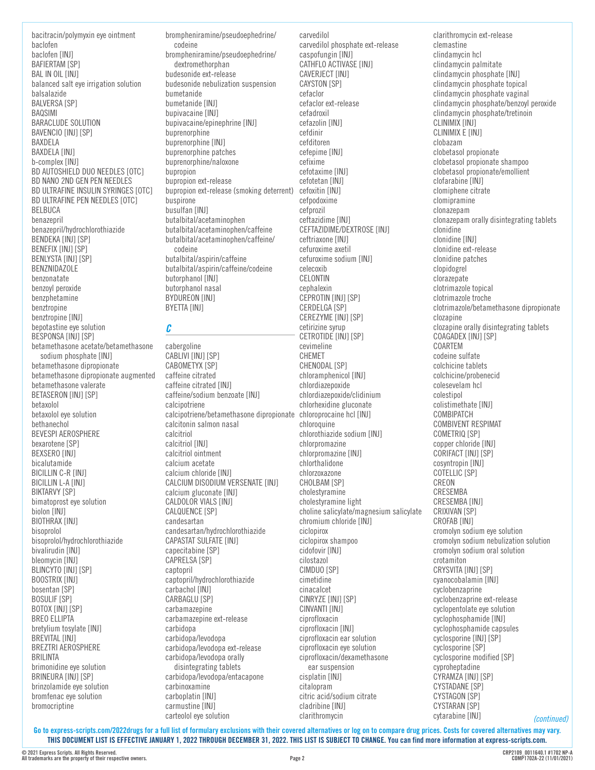bacitracin/polymyxin eye ointment baclofen baclofen [INJ] BAFIERTAM [SP] BAL IN OIL [INJ] balanced salt eye irrigation solution balsalazide **BALVERSA [SP]** BAQSIMI BARACLUDE SOLUTION BAVENCIO [INJ] [SP] BAXDELA BAXDELA [INJ] b-complex [INJ] BD AUTOSHIELD DUO NEEDLES [OTC] BD NANO 2ND GEN PEN NEEDLES BD ULTRAFINE INSULIN SYRINGES [OTC] BD ULTRAFINE PEN NEEDLES [OTC] BELBUCA benazepril benazepril/hydrochlorothiazide BENDEKA [INJ] [SP] BENEFIX [INJ] [SP] BENLYSTA [INJ] [SP] BENZNIDAZOLE benzonatate benzoyl peroxide benzphetamine benztropine benztropine [INJ] bepotastine eye solution BESPONSA [INJ] [SP] betamethasone acetate/betamethasone sodium phosphate [INJ] betamethasone dipropionate betamethasone dipropionate augmented betamethasone valerate BETASERON [INJ] [SP] betaxolol betaxolol eye solution bethanechol BEVESPI AEROSPHERE bexarotene [SP] BEXSERO [INJ] bicalutamide BICILLIN C-R [INJ] BICILLIN L-A [INJ] BIKTARVY [SP] bimatoprost eye solution biolon [INJ] BIOTHRAX [INJ] bisoprolol bisoprolol/hydrochlorothiazide bivalirudin [INJ] bleomycin [INJ] BLINCYTO [INJ] [SP] BOOSTRIX [INJ] bosentan [SP] BOSULIF [SP] BOTOX [INJ] [SP] BREO ELLIPTA bretylium tosylate [INJ] BREVITAL [INJ] BREZTRI AEROSPHERE BRILINTA brimonidine eye solution BRINEURA [INJ] [SP] brinzolamide eye solution bromfenac eye solution bromocriptine

brompheniramine/pseudoephedrine/ codeine brompheniramine/pseudoephedrine/ dextromethorphan budesonide ext-release budesonide nebulization suspension bumetanide bumetanide [INJ] bupivacaine [INJ] bupivacaine/epinephrine [INJ] buprenorphine buprenorphine [INJ] buprenorphine patches buprenorphine/naloxone bupropion bupropion ext-release bupropion ext-release (smoking deterrent) cefoxitin [INJ] buspirone busulfan [INJ] butalbital/acetaminophen butalbital/acetaminophen/caffeine butalbital/acetaminophen/caffeine/ codeine butalbital/aspirin/caffeine butalbital/aspirin/caffeine/codeine butorphanol [INJ] butorphanol nasal BYDUREON [INJ] BYETTA [INJ]

### *C*

cabergoline CABLIVI [INJ] [SP] CABOMETYX [SP] caffeine citrated caffeine citrated [INJ] caffeine/sodium benzoate [INJ] calcipotriene calcipotriene/betamethasone dipropionate chloroprocaine hcl [INJ] calcitonin salmon nasal calcitriol calcitriol [INJ] calcitriol ointment calcium acetate calcium chloride [INJ] CALCIUM DISODIUM VERSENATE [INJ] calcium gluconate [INJ] CALDOLOR VIALS [INJ] CALQUENCE [SP] candesartan candesartan/hydrochlorothiazide CAPASTAT SULFATE [INJ] capecitabine [SP] CAPRELSA [SP] captopril captopril/hydrochlorothiazide carbachol [INJ] CARBAGLU [SP] carbamazepine carbamazepine ext-release carbidopa carbidopa/levodopa carbidopa/levodopa ext-release carbidopa/levodopa orally disintegrating tablets carbidopa/levodopa/entacapone carbinoxamine carboplatin [INJ] carmustine [INJ] carteolol eye solution

carvedilol carvedilol phosphate ext-release caspofungin [INJ] CATHFLO ACTIVASE [INJ] CAVERJECT [INJ] CAYSTON [SP] cefaclor cefaclor ext-release cefadroxil cefazolin [INJ] cefdinir cefditoren cefepime [INJ] cefixime cefotaxime [INJ] cefotetan [INJ] cefpodoxime cefprozil ceftazidime [INJ] CEFTAZIDIME/DEXTROSE [INJ] ceftriaxone [INJ] cefuroxime axetil cefuroxime sodium [INJ] celecoxib CELONTIN cephalexin CEPROTIN [INJ] [SP] CERDELGA [SP] CEREZYME [INJ] [SP] cetirizine syrup CETROTIDE [INJ] [SP] cevimeline CHEMET CHENODAL [SP] chloramphenicol [INJ] chlordiazepoxide chlordiazepoxide/clidinium chlorhexidine gluconate chloroquine chlorothiazide sodium [INJ] chlorpromazine chlorpromazine [INJ] chlorthalidone chlorzoxazone CHOLBAM [SP] cholestyramine cholestyramine light choline salicylate/magnesium salicylate chromium chloride [INJ] ciclopirox ciclopirox shampoo cidofovir [INJ] cilostazol CIMDUO [SP] cimetidine cinacalcet CINRYZE [INJ] [SP] CINVANTI [INJ] ciprofloxacin ciprofloxacin [INJ] ciprofloxacin ear solution ciprofloxacin eye solution ciprofloxacin/dexamethasone ear suspension cisplatin [INJ] citalopram citric acid/sodium citrate cladribine [INJ] clarithromycin

clarithromycin ext-release clemastine clindamycin hcl clindamycin palmitate clindamycin phosphate [INJ] clindamycin phosphate topical clindamycin phosphate vaginal clindamycin phosphate/benzoyl peroxide clindamycin phosphate/tretinoin CLINIMIX [INJ] CLINIMIX E [INJ] clobazam clobetasol propionate clobetasol propionate shampoo clobetasol propionate/emollient clofarabine [INJ] clomiphene citrate clomipramine clonazepam clonazepam orally disintegrating tablets clonidine clonidine [INJ] clonidine ext-release clonidine patches clopidogrel clorazepate clotrimazole topical clotrimazole troche clotrimazole/betamethasone dipropionate clozapine clozapine orally disintegrating tablets COAGADEX [INJ] [SP] COARTEM codeine sulfate colchicine tablets colchicine/probenecid colesevelam hcl colestipol colistimethate [INJ] COMBIPATCH COMBIVENT RESPIMAT COMETRIQ [SP] copper chloride [INJ] CORIFACT [INJ] [SP] cosyntropin [INJ] COTELLIC [SP] CREON CRESEMBA CRESEMBA [INJ] CRIXIVAN [SP] CROFAB [INJ] cromolyn sodium eye solution cromolyn sodium nebulization solution cromolyn sodium oral solution crotamiton CRYSVITA [INJ] [SP] cyanocobalamin [INJ] cyclobenzaprine cyclobenzaprine ext-release cyclopentolate eye solution cyclophosphamide [INJ] cyclophosphamide capsules cyclosporine [INJ] [SP] cyclosporine [SP] cyclosporine modified [SP] cyproheptadine CYRAMZA [INJ] [SP] CYSTADANE [SP] CYSTAGON [SP] CYSTARAN [SP]

**Go to [express-scripts.com/2022drugs](https://express-scripts.com/2022drugs) for a full list of formulary exclusions with their covered alternatives or log on to compare drug prices. Costs for covered alternatives may vary. THIS DOCUMENT LIST IS EFFECTIVE JANUARY 1, 2022 THROUGH DECEMBER 31, 2022. THIS LIST IS SUBJECT TO CHANGE. You can find more information at [express-scripts.com](https://express-scripts.com).**

cytarabine [INJ]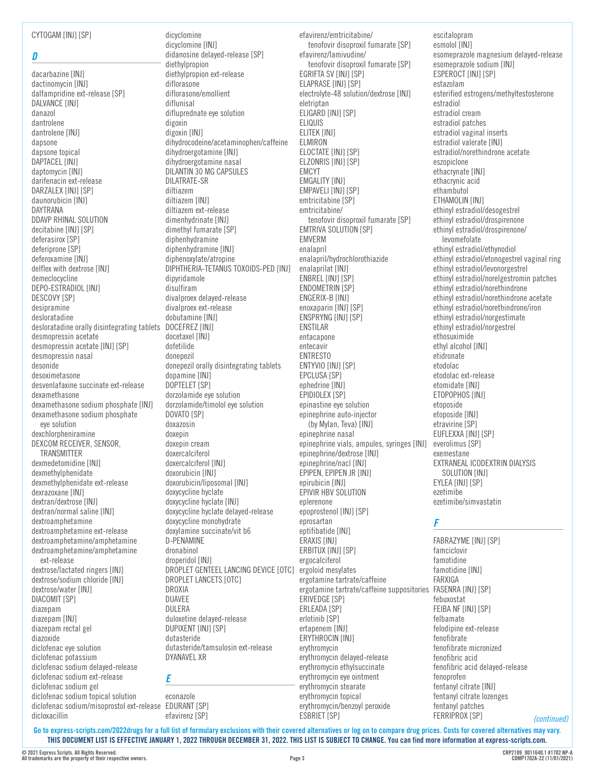CYTOGAM [INJ] [SP]

#### *D*

dacarbazine [INJ] dactinomycin [INJ] dalfampridine ext-release [SP] DALVANCE [INJ] danazol dantrolene dantrolene [INJ] dapsone dapsone topical DAPTACEL [INJ] daptomycin [INJ] darifenacin ext-release DARZALEX [INJ] [SP] daunorubicin [INJ] DAYTRANA DDAVP RHINAL SOLUTION decitabine [INJ] [SP] deferasirox [SP] deferiprone [SP] deferoxamine [INJ] delflex with dextrose [INJ] demeclocycline DEPO-ESTRADIOL [INJ] DESCOVY [SP] desipramine desloratadine desloratadine orally disintegrating tablets DOCEFREZ [INJ] desmopressin acetate desmopressin acetate [INJ] [SP] desmopressin nasal desonide desoximetasone desvenlafaxine succinate ext-release dexamethasone dexamethasone sodium phosphate [INJ] dexamethasone sodium phosphate eye solution dexchlorpheniramine DEXCOM RECEIVER, SENSOR, **TRANSMITTER** dexmedetomidine [INJ] dexmethylphenidate dexmethylphenidate ext-release dexrazoxane [INJ] dextran/dextrose [INJ] dextran/normal saline [INJ] dextroamphetamine dextroamphetamine ext-release dextroamphetamine/amphetamine dextroamphetamine/amphetamine ext-release dextrose/lactated ringers [INJ] dextrose/sodium chloride [INJ] dextrose/water [INJ] DIACOMIT [SP] diazepam diazepam [INJ] diazepam rectal gel diazoxide diclofenac eye solution diclofenac potassium diclofenac sodium delayed-release diclofenac sodium ext-release diclofenac sodium gel diclofenac sodium topical solution diclofenac sodium/misoprostol ext-release EDURANT [SP]

dicyclomine dicyclomine [INJ] didanosine delayed-release [SP] diethylpropion diethylpropion ext-release diflorasone diflorasone/emollient diflunisal difluprednate eye solution digoxin digoxin [INJ] dihydrocodeine/acetaminophen/caffeine dihydroergotamine [INJ] dihydroergotamine nasal DILANTIN 30 MG CAPSULES DILATRATE-SR diltiazem diltiazem [INJ] diltiazem ext-release dimenhydrinate [INJ] dimethyl fumarate [SP] diphenhydramine diphenhydramine [INJ] diphenoxylate/atropine DIPHTHERIA-TETANUS TOXOIDS-PED [INJ] dipyridamole disulfiram divalproex delayed-release divalproex ext-release dobutamine [INJ] docetaxel [INJ] dofetilide donepezil donepezil orally disintegrating tablets dopamine [INJ] DOPTELET [SP] dorzolamide eye solution dorzolamide/timolol eye solution DOVATO [SP] doxazosin doxepin doxepin cream doxercalciferol doxercalciferol [INJ] doxorubicin [INJ] doxorubicin/liposomal [INJ] doxycycline hyclate doxycycline hyclate [INJ] doxycycline hyclate delayed-release doxycycline monohydrate doxylamine succinate/vit b6 D-PENAMINE dronabinol droperidol [INJ] DROPLET GENTEEL LANCING DEVICE [OTC] ergoloid mesylates DROPLET LANCETS [OTC] DROXIA DUAVEE DULERA duloxetine delayed-release DUPIXENT [INJ] [SP] dutasteride dutasteride/tamsulosin ext-release DYANAVEL XR *E*

econazole efavirenz [SP]

efavirenz/emtricitabine/ tenofovir disoproxil fumarate [SP] efavirenz/lamivudine/ tenofovir disoproxil fumarate [SP] EGRIFTA SV [INJ] [SP] ELAPRASE [INJ] [SP] electrolyte-48 solution/dextrose [INJ] eletriptan ELIGARD [INJ] [SP] ELIQUIS ELITEK [INJ] ELMIRON ELOCTATE [INJ] [SP] ELZONRIS [INJ] [SP] EMCYT EMGALITY [INJ] EMPAVELI [INJ] [SP] emtricitabine [SP] emtricitabine/ tenofovir disoproxil fumarate [SP] EMTRIVA SOLUTION [SP] EMVERM enalapril enalapril/hydrochlorothiazide enalaprilat [INJ] ENBREL [INJ] [SP] ENDOMETRIN [SP] ENGERIX-B [INJ] enoxaparin [INJ] [SP] ENSPRYNG [INJ] [SP] ENSTILAR entacapone entecavir ENTRESTO ENTYVIO [INJ] [SP] EPCLUSA [SP] ephedrine [INJ] EPIDIOLEX [SP] epinastine eye solution epinephrine auto-injector (by Mylan, Teva) [INJ] epinephrine nasal epinephrine vials, ampules, syringes [INJ] epinephrine/dextrose [INJ] epinephrine/nacl [INJ] EPIPEN, EPIPEN JR [INJ] epirubicin [INJ] EPIVIR HBV SOLUTION eplerenone epoprostenol [INJ] [SP] eprosartan eptifibatide [INJ] ERAXIS [INJ] ERBITUX [INJ] [SP] ergocalciferol ergotamine tartrate/caffeine ergotamine tartrate/caffeine suppositories FASENRA [INJ] [SP] ERIVEDGE [SP] ERLEADA [SP] erlotinib [SP] ertapenem [INJ] ERYTHROCIN [INJ] erythromycin erythromycin delayed-release erythromycin ethylsuccinate erythromycin eye ointment

escitalopram esmolol [INJ] esomeprazole magnesium delayed-release esomeprazole sodium [INJ] ESPEROCT [INJ] [SP] estazolam esterified estrogens/methyltestosterone estradiol estradiol cream estradiol patches estradiol vaginal inserts estradiol valerate [INJ] estradiol/norethindrone acetate eszopiclone ethacrynate [INJ] ethacrynic acid ethambutol ETHAMOLIN [INJ] ethinyl estradiol/desogestrel ethinyl estradiol/drospirenone ethinyl estradiol/drospirenone/ levomefolate ethinyl estradiol/ethynodiol ethinyl estradiol/etonogestrel vaginal ring ethinyl estradiol/levonorgestrel ethinyl estradiol/norelgestromin patches ethinyl estradiol/norethindrone ethinyl estradiol/norethindrone acetate ethinyl estradiol/norethindrone/iron ethinyl estradiol/norgestimate ethinyl estradiol/norgestrel ethosuximide ethyl alcohol [INJ] etidronate etodolac etodolac ext-release etomidate [INJ] ETOPOPHOS [INJ] etoposide etoposide [INJ] etravirine [SP] EUFLEXXA [INJ] [SP] everolimus [SP] exemestane EXTRANEAL ICODEXTRIN DIALYSIS SOLUTION [INJ] EYLEA [INJ] [SP] ezetimibe ezetimibe/simvastatin

### *F*

FABRAZYME [INJ] [SP] famciclovir famotidine famotidine [INJ] FARXIGA febuxostat FEIBA NF [INJ] [SP] felbamate felodipine ext-release fenofibrate fenofibrate micronized fenofibric acid fenofibric acid delayed-release fenoprofen fentanyl citrate [INJ] fentanyl citrate lozenges fentanyl patches FERRIPROX [SP]

**Go to [express-scripts.com/2022drugs](https://express-scripts.com/2022drugs) for a full list of formulary exclusions with their covered alternatives or log on to compare drug prices. Costs for covered alternatives may vary. THIS DOCUMENT LIST IS EFFECTIVE JANUARY 1, 2022 THROUGH DECEMBER 31, 2022. THIS LIST IS SUBJECT TO CHANGE. You can find more information at [express-scripts.com](https://express-scripts.com).**

erythromycin stearate erythromycin topical erythromycin/benzoyl peroxide

ESBRIET [SP]

dicloxacillin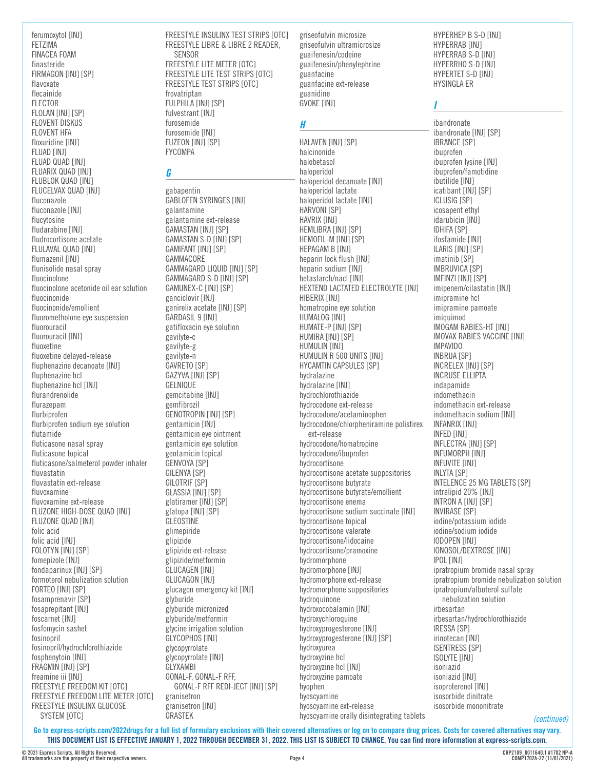ferumoxytol [INJ] FETZIMA FINACEA FOAM finasteride FIRMAGON [INJ] [SP] flavoxate flecainide FLECTOR FLOLAN [INJ] [SP] FLOVENT DISKUS FLOVENT HFA floxuridine [INJ] **FLUAD [INJ]** FLUAD QUAD [INJ] FLUARIX QUAD [INJ] FLUBLOK QUAD [INJ] FLUCELVAX QUAD [INJ] fluconazole fluconazole [INJ] flucytosine fludarabine [INJ] fludrocortisone acetate FLULAVAL QUAD [INJ] flumazenil [INJ] flunisolide nasal spray fluocinolone fluocinolone acetonide oil ear solution fluocinonide fluocinonide/emollient fluorometholone eye suspension fluorouracil fluorouracil [INJ] fluoxetine fluoxetine delayed-release fluphenazine decanoate [INJ] fluphenazine hcl fluphenazine hcl [INJ] flurandrenolide flurazepam flurbiprofen flurbiprofen sodium eve solution flutamide fluticasone nasal spray fluticasone topical fluticasone/salmeterol powder inhaler fluvastatin fluvastatin ext-release fluvoxamine fluvoxamine ext-release FLUZONE HIGH-DOSE QUAD [INJ] FLUZONE QUAD [INJ] folic acid folic acid [INJ] FOLOTYN [INJ] [SP] fomepizole [INJ] fondaparinux [INJ] [SP] formoterol nebulization solution FORTEO [INJ] [SP] fosamprenavir [SP] fosaprepitant [INJ] foscarnet [INJ] fosfomycin sashet fosinopril fosinopril/hydrochlorothiazide fosphenytoin [INJ] FRAGMIN [INJ] [SP] freamine iii [INJ] FREESTYLE FREEDOM KIT [OTC] FREESTYLE FREEDOM LITE METER [OTC] FREESTYLE INSULINX GLUCOSE SYSTEM [OTC]

FREESTYLE INSULINX TEST STRIPS [OTC] FREESTYLE LIBRE & LIBRE 2 READER, SENSOR FREESTYLE LITE METER [OTC] FREESTYLE LITE TEST STRIPS [OTC] FREESTYLE TEST STRIPS [OTC] frovatriptan FULPHILA [INJ] [SP] fulvestrant [INJ] furosemide furosemide [INJ] FUZEON [INJ] [SP]

### *G*

FYCOMPA

gabapentin **GABLOFEN SYRINGES [INJ]** galantamine galantamine ext-release GAMASTAN [INJ] [SP] GAMASTAN S-D [INJ] [SP] GAMIFANT [INJ] [SP] GAMMACORE GAMMAGARD LIQUID [INJ] [SP] GAMMAGARD S-D [INJ] [SP] GAMUNEX-C [INJ] [SP] ganciclovir [INJ] ganirelix acetate [INJ] [SP] GARDASIL 9 [INJ] gatifloxacin eye solution gavilyte-c gavilyte-g gavilyte-n GAVRETO [SP] GAZYVA [INJ] [SP] GELNIQUE gemcitabine [INJ] gemfibrozil GENOTROPIN [INJ] [SP] gentamicin [INJ] gentamicin eye ointment gentamicin eye solution gentamicin topical GENVOYA [SP] **GILENYA [SP]** GILOTRIF [SP] GLASSIA [INJ] [SP] glatiramer [INJ] [SP] glatopa [INJ] [SP] GLEOSTINE glimepiride glipizide glipizide ext-release glipizide/metformin **GLUCAGEN [INJ] GLUCAGON [INJ]** glucagon emergency kit [INJ] glyburide glyburide micronized glyburide/metformin glycine irrigation solution GLYCOPHOS [INJ] glycopyrrolate glycopyrrolate [INJ] GLYXAMBI GONAL-F, GONAL-F RFF, GONAL-F RFF REDI-JECT [INJ] [SP] granisetron granisetron [INJ] GRASTEK

griseofulvin microsize griseofulvin ultramicrosize guaifenesin/codeine guaifenesin/phenylephrine guanfacine guanfacine ext-release guanidine **GVOKE [INJ]** 

## *H*

HALAVEN [INJ] [SP] halcinonide halobetasol haloperidol haloperidol decanoate [INJ] haloperidol lactate haloperidol lactate [INJ] HARVONI [SP] HAVRIX [INJ] HEMLIBRA [INJ] [SP] HEMOFIL-M [INJ] [SP] HEPAGAM B [INJ] heparin lock flush [INJ] heparin sodium [INJ] hetastarch/nacl [INJ] HEXTEND LACTATED ELECTROLYTE [INJ] HIBERIX [INJ] homatropine eye solution HUMALOG [INJ] HUMATE-P [INJ] [SP] HUMIRA [INJ] [SP] HUMULIN [INJ] HUMULIN R 500 UNITS [INJ] HYCAMTIN CAPSULES [SP] hydralazine hydralazine [INJ] hydrochlorothiazide hydrocodone ext-release hydrocodone/acetaminophen hydrocodone/chlorpheniramine polistirex ext-release hydrocodone/homatropine hydrocodone/ibuprofen hydrocortisone hydrocortisone acetate suppositories hydrocortisone butyrate hydrocortisone butyrate/emollient hydrocortisone enema hydrocortisone sodium succinate [INJ] hydrocortisone topical hydrocortisone valerate hydrocortisone/lidocaine hydrocortisone/pramoxine hydromorphone hydromorphone [INJ] hydromorphone ext-release hydromorphone suppositories hydroquinone hydroxocobalamin [INJ] hydroxychloroquine hydroxyprogesterone [INJ] hydroxyprogesterone [INJ] [SP] hydroxyurea hydroxyzine hcl hydroxyzine hcl [INJ] hydroxyzine pamoate hyophen hyoscyamine hyoscyamine ext-release hyoscyamine orally disintegrating tablets HYPERHEP B S-D [INJ] HYPERRAB [INJ] HYPERRAB S-D [INJ] HYPERRHO S-D [INJ] HYPERTET S-D [INJ] HYSINGLA ER

## *I*

ibandronate ibandronate [INJ] [SP] **IBRANCE [SP]** ibuprofen ibuprofen lysine [INJ] ibuprofen/famotidine ibutilide [INJ] icatibant [INJ] [SP] ICLUSIG [SP] icosapent ethyl idarubicin [INJ] IDHIFA [SP] ifosfamide [INJ] ILARIS [INJ] [SP] imatinib [SP] IMBRUVICA [SP] IMFINZI [INJ] [SP] imipenem/cilastatin [INJ] imipramine hcl imipramine pamoate imiquimod IMOGAM RABIES-HT [INJ] IMOVAX RABIES VACCINE [INJ] IMPAVIDO INBRIJA [SP] INCRELEX [INJ] [SP] INCRUSE ELLIPTA indapamide indomethacin indomethacin ext-release indomethacin sodium [INJ] INFANRIX [INJ] INFED [INJ] INFLECTRA [INJ] [SP] INFUMORPH [INJ] INFUVITE [INJ] INLYTA [SP] INTELENCE 25 MG TABLETS [SP] intralipid 20% [INJ] INTRON A [INJ] [SP] INVIRASE [SP] iodine/potassium iodide iodine/sodium iodide IODOPEN [INJ] IONOSOL/DEXTROSE [INJ] IPOL [INJ] ipratropium bromide nasal spray ipratropium bromide nebulization solution ipratropium/albuterol sulfate nebulization solution irbesartan irbesartan/hydrochlorothiazide IRESSA [SP] irinotecan [INJ] ISENTRESS [SP] ISOLYTE [INJ] isoniazid isoniazid [INJ] isoproterenol [INJ] isosorbide dinitrate isosorbide mononitrate

*(continued)*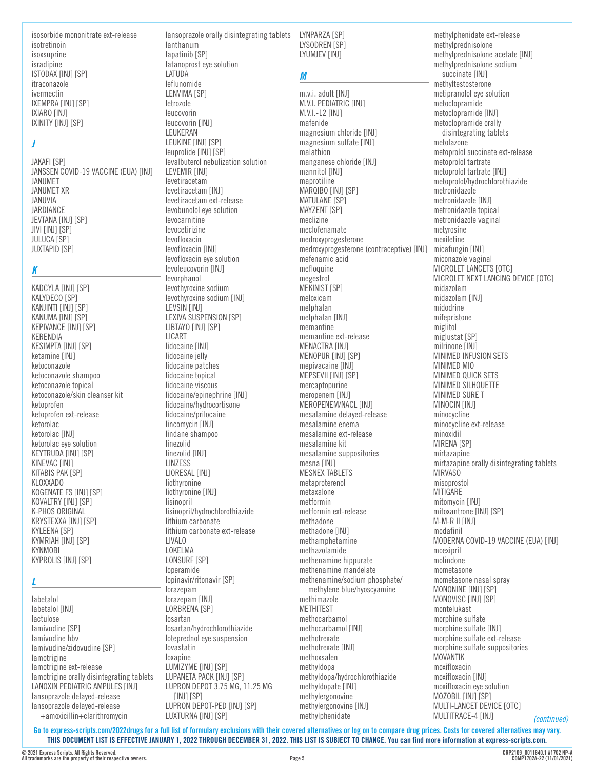isosorbide mononitrate ext-release isotretinoin isoxsuprine isradipine ISTODAX [INJ] [SP] itraconazole ivermectin IXEMPRA [INJ] [SP] IXIARO [INJ] IXINITY [INJ] [SP]

## *J*

JAKAFI [SP] JANSSEN COVID-19 VACCINE (EUA) [INJ] JANUMET JANUMET XR JANUVIA JARDIANCE JEVTANA [INJ] [SP] JIVI [INJ] [SP] JULUCA [SP] JUXTAPID [SP]

# *K*

KADCYLA [INJ] [SP] KALYDECO [SP] KANJINTI [INJ] [SP] KANUMA [INJ] [SP] KEPIVANCE [INJ] [SP] KERENDIA KESIMPTA [INJ] [SP] ketamine [INJ] ketoconazole ketoconazole shampoo ketoconazole topical ketoconazole/skin cleanser kit ketoprofen ketoprofen ext-release ketorolac ketorolac [INJ] ketorolac eye solution KEYTRUDA [INJ] [SP] KINEVAC [INJ] KITABIS PAK [SP] KLOXXADO KOGENATE FS [INJ] [SP] KOVALTRY [INJ] [SP] K-PHOS ORIGINAL KRYSTEXXA [INJ] [SP] KYLEENA [SP] KYMRIAH [INJ] [SP] **KYNMOBI** KYPROLIS [INJ] [SP]

### *L*

labetalol labetalol [INJ] lactulose lamivudine [SP] lamivudine hbv lamivudine/zidovudine [SP] lamotrigine lamotrigine ext-release lamotrigine orally disintegrating tablets LANOXIN PEDIATRIC AMPULES [INJ] lansoprazole delayed-release lansoprazole delayed-release +amoxicillin+clarithromycin

lanthanum lapatinib [SP] latanoprost eye solution LATUDA leflunomide LENVIMA [SP] letrozole leucovorin leucovorin [INJ] LEUKERAN LEUKINE [INJ] [SP] leuprolide [INJ] [SP] levalbuterol nebulization solution LEVEMIR [INJ] levetiracetam levetiracetam [INJ] levetiracetam ext-release levobunolol eye solution levocarnitine levocetirizine levofloxacin levofloxacin [INJ] levofloxacin eye solution levoleucovorin [INJ] levorphanol levothyroxine sodium levothyroxine sodium [INJ] LEVSIN [INJ] LEXIVA SUSPENSION [SP] LIBTAYO [INJ] [SP] LICART lidocaine [INJ] lidocaine jelly lidocaine patches lidocaine topical lidocaine viscous lidocaine/epinephrine [INJ] lidocaine/hydrocortisone lidocaine/prilocaine lincomycin [INJ] lindane shampoo linezolid linezolid [INJ] LINZESS LIORESAL [INJ] liothyronine liothyronine [INJ] lisinopril lisinopril/hydrochlorothiazide lithium carbonate lithium carbonate ext-release LIVALO LOKELMA LONSURF [SP] loperamide lopinavir/ritonavir [SP] lorazepam lorazepam [INJ] LORBRENA [SP] losartan losartan/hydrochlorothiazide loteprednol eye suspension lovastatin loxapine LUMIZYME [INJ] [SP] LUPANETA PACK [INJ] [SP] LUPRON DEPOT 3.75 MG, 11.25 MG [INJ] [SP] LUPRON DEPOT-PED [INJ] [SP] LUXTURNA [INJ] [SP]

lansoprazole orally disintegrating tablets LYNPARZA [SP] LYSODREN [SP] LYUMJEV [INJ]

# *M*

m.v.i. adult [INJ] M.V.I. PEDIATRIC [INJ] M.V.I.-12 [INJ] mafenide magnesium chloride [INJ] magnesium sulfate [INJ] malathion manganese chloride [INJ] mannitol [INJ] maprotiline MARQIBO [INJ] [SP] MATULANE [SP] MAYZENT [SP] meclizine meclofenamate medroxyprogesterone medroxyprogesterone (contraceptive) [INJ] micafungin [INJ] mefenamic acid mefloquine megestrol **MEKINIST [SP]** meloxicam melphalan melphalan [INJ] memantine memantine ext-release MENACTRA [INJ] MENOPUR [INJ] [SP] mepivacaine [INJ] MEPSEVII [INJ] [SP] mercaptopurine meropenem [INJ] MEROPENEM/NACL [INJ] mesalamine delayed-release mesalamine enema mesalamine ext-release mesalamine kit mesalamine suppositories mesna [INJ] MESNEX TABLETS metaproterenol metaxalone metformin metformin ext-release methadone methadone [INJ] methamphetamine methazolamide methenamine hippurate methenamine mandelate methenamine/sodium phosphate/ methylene blue/hyoscyamine methimazole **METHITEST** methocarbamol methocarbamol [INJ] methotrexate methotrexate [INJ] methoxsalen methyldopa methyldopa/hydrochlorothiazide methyldopate [INJ] methylergonovine methylergonovine [INJ] methylphenidate

*(continued)* methylphenidate ext-release methylprednisolone methylprednisolone acetate [INJ] methylprednisolone sodium succinate [INJ] methyltestosterone metipranolol eye solution metoclopramide metoclopramide [INJ] metoclopramide orally disintegrating tablets metolazone metoprolol succinate ext-release metoprolol tartrate metoprolol tartrate [INJ] metoprolol/hydrochlorothiazide metronidazole metronidazole [INJ] metronidazole topical metronidazole vaginal metyrosine mexiletine miconazole vaginal MICROLET LANCETS [OTC] MICROLET NEXT LANCING DEVICE [OTC] midazolam midazolam [INJ] midodrine mifepristone miglitol miglustat [SP] milrinone [INJ] MINIMED INFUSION SETS MINIMED MIO MINIMED QUICK SETS MINIMED SILHOUETTE MINIMED SURE T MINOCIN [INJ] minocycline minocycline ext-release minoxidil MIRENA [SP] mirtazapine mirtazapine orally disintegrating tablets MIRVASO misoprostol MITIGARE mitomycin [INJ] mitoxantrone [INJ] [SP] M-M-R II [INJ] modafinil MODERNA COVID-19 VACCINE (EUA) [INJ] moexipril molindone mometasone mometasone nasal spray MONONINE [INJ] [SP] MONOVISC [INJ] [SP] montelukast morphine sulfate morphine sulfate [INJ] morphine sulfate ext-release morphine sulfate suppositories MOVANTIK moxifloxacin moxifloxacin [INJ] moxifloxacin eye solution MOZOBIL [INJ] [SP] MULTI-LANCET DEVICE [OTC] MULTITRACE-4 [INJ]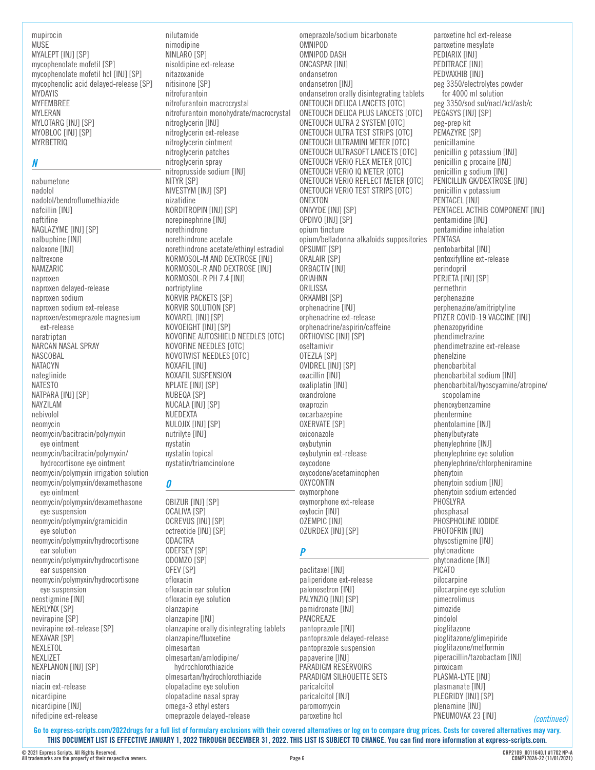#### mupirocin **MUSE** MYALEPT [INJ] [SP] mycophenolate mofetil [SP] mycophenolate mofetil hcl [INJ] [SP] mycophenolic acid delayed-release [SP] MYDAYIS MYFEMBREE MYLERAN MYLOTARG [INJ] [SP] MYOBLOC [INJ] [SP] MYRBETRIQ

### *N*

nabumetone nadolol nadolol/bendroflumethiazide nafcillin [INJ] naftifine NAGLAZYME [INJ] [SP] nalbuphine [INJ] naloxone [INJ] naltrexone NAMZARIC naproxen naproxen delayed-release naproxen sodium naproxen sodium ext-release naproxen/esomeprazole magnesium ext-release naratriptan NARCAN NASAL SPRAY NASCOBAL NATACYN nateglinide NATESTO NATPARA [INJ] [SP] NAYZILAM nebivolol neomycin neomycin/bacitracin/polymyxin eye ointment neomycin/bacitracin/polymyxin/ hydrocortisone eye ointment neomycin/polymyxin irrigation solution neomycin/polymyxin/dexamethasone eye ointment neomycin/polymyxin/dexamethasone eye suspension neomycin/polymyxin/gramicidin eye solution neomycin/polymyxin/hydrocortisone ear solution neomycin/polymyxin/hydrocortisone ear suspension neomycin/polymyxin/hydrocortisone eye suspension neostigmine [INJ] NERLYNX [SP] nevirapine [SP] nevirapine ext-release [SP] NEXAVAR [SP] NEXLETOL NEXLIZET NEXPLANON [INJ] [SP]

niacin niacin ext-release nicardipine nicardipine [INJ] nifedipine ext-release

nilutamide nimodipine NINLARO [SP] nisoldipine ext-release nitazoxanide nitisinone [SP] nitrofurantoin nitrofurantoin macrocrystal nitrofurantoin monohydrate/macrocrystal nitroglycerin [INJ] nitroglycerin ext-release nitroglycerin ointment nitroglycerin patches nitroglycerin spray nitroprusside sodium [INJ] NITYR [SP] NIVESTYM [INJ] [SP] nizatidine NORDITROPIN [INJ] [SP] norepinephrine [INJ] norethindrone norethindrone acetate norethindrone acetate/ethinyl estradiol NORMOSOL-M AND DEXTROSE [INJ] NORMOSOL-R AND DEXTROSE [INJ] NORMOSOL-R PH 7.4 [INJ] nortriptyline NORVIR PACKETS [SP] NORVIR SOLUTION [SP] NOVAREL [INJ] [SP] NOVOEIGHT [INJ] [SP] NOVOFINE AUTOSHIELD NEEDLES [OTC] NOVOFINE NEEDLES [OTC] NOVOTWIST NEEDLES [OTC] NOXAFIL [INJ] NOXAFIL SUSPENSION NPLATE [INJ] [SP] NUBEQA [SP] NUCALA [INJ] [SP] NUEDEXTA NULOJIX [INJ] [SP] nutrilyte [INJ] nystatin nystatin topical nystatin/triamcinolone

### *O*

OBIZUR [INJ] [SP] OCALIVA [SP] OCREVUS [INJ] [SP] octreotide [INJ] [SP] ODACTRA ODEFSEY [SP] ODOMZO [SP] OFEV [SP] ofloxacin ofloxacin ear solution ofloxacin eye solution olanzapine olanzapine [INJ] olanzapine orally disintegrating tablets olanzapine/fluoxetine olmesartan olmesartan/amlodipine/ hydrochlorothiazide olmesartan/hydrochlorothiazide olopatadine eye solution olopatadine nasal spray omega-3 ethyl esters omeprazole delayed-release

omeprazole/sodium bicarbonate OMNIPOD OMNIPOD DASH ONCASPAR [INJ] ondansetron ondansetron [INJ] ondansetron orally disintegrating tablets ONETOUCH DELICA LANCETS [OTC] ONETOUCH DELICA PLUS LANCETS [OTC] ONETOUCH ULTRA 2 SYSTEM [OTC] ONETOUCH ULTRA TEST STRIPS [OTC] ONETOUCH ULTRAMINI METER [OTC] ONETOUCH ULTRASOFT LANCETS [OTC] ONETOUCH VERIO FLEX METER [OTC] ONETOUCH VERIO IQ METER [OTC] ONETOUCH VERIO REFLECT METER [OTC] ONETOUCH VERIO TEST STRIPS [OTC] **ONEXTON** ONIVYDE [INJ] [SP] OPDIVO [INJ] [SP] opium tincture opium/belladonna alkaloids suppositories OPSUMIT [SP] ORALAIR [SP] ORBACTIV [INJ] ORIAHNN **ORILISSA** ORKAMBI [SP] orphenadrine [INJ] orphenadrine ext-release orphenadrine/aspirin/caffeine ORTHOVISC [INJ] [SP] oseltamivir OTEZLA [SP] OVIDREL [INJ] [SP] oxacillin [INJ] oxaliplatin [INJ] oxandrolone oxaprozin oxcarbazepine OXERVATE [SP] oxiconazole oxybutynin oxybutynin ext-release oxycodone oxycodone/acetaminophen OXYCONTIN oxymorphone oxymorphone ext-release oxytocin [INJ] OZEMPIC [INJ] OZURDEX [INJ] [SP]

# *P*

paclitaxel [INJ] paliperidone ext-release palonosetron [INJ] PALYNZIQ [INJ] [SP] pamidronate [INJ] PANCREAZE pantoprazole [INJ] pantoprazole delayed-release pantoprazole suspension papaverine [INJ] PARADIGM RESERVOIRS PARADIGM SILHOUETTE SETS paricalcitol paricalcitol [INJ] paromomycin paroxetine hcl

paroxetine hcl ext-release paroxetine mesylate PEDIARIX [INJ] PEDITRACE [INJ] PEDVAXHIB [INJ] peg 3350/electrolytes powder for 4000 ml solution peg 3350/sod sul/nacl/kcl/asb/c PEGASYS [INJ] [SP] peg-prep kit PEMAZYRE [SP] penicillamine penicillin g potassium [INJ] penicillin g procaine [INJ] penicillin g sodium [INJ] PENICILLIN GK/DEXTROSE [INJ] penicillin v potassium PENTACEL [INJ] PENTACEL ACTHIB COMPONENT [INJ] pentamidine [INJ] pentamidine inhalation PENTASA pentobarbital [INJ] pentoxifylline ext-release perindopril PERJETA [INJ] [SP] permethrin perphenazine perphenazine/amitriptyline PFIZER COVID-19 VACCINE [INJ] phenazopyridine phendimetrazine phendimetrazine ext-release phenelzine phenobarbital phenobarbital sodium [INJ] phenobarbital/hyoscyamine/atropine/ scopolamine phenoxybenzamine phentermine phentolamine [INJ] phenylbutyrate phenylephrine [INJ] phenylephrine eye solution phenylephrine/chlorpheniramine phenytoin phenytoin sodium [INJ] phenytoin sodium extended **PHOSLYRA** phosphasal PHOSPHOLINE IODIDE PHOTOFRIN [INJ] physostigmine [INJ] phytonadione phytonadione [INJ] PICATO pilocarpine pilocarpine eye solution pimecrolimus pimozide pindolol pioglitazone pioglitazone/glimepiride pioglitazone/metformin piperacillin/tazobactam [INJ] piroxicam PLASMA-LYTE [INJ] plasmanate [INJ] PLEGRIDY [INJ] [SP] plenamine [INJ] PNEUMOVAX 23 [INJ]

**Go to [express-scripts.com/2022drugs](https://express-scripts.com/2022drugs) for a full list of formulary exclusions with their covered alternatives or log on to compare drug prices. Costs for covered alternatives may vary. THIS DOCUMENT LIST IS EFFECTIVE JANUARY 1, 2022 THROUGH DECEMBER 31, 2022. THIS LIST IS SUBJECT TO CHANGE. You can find more information at [express-scripts.com](https://express-scripts.com).**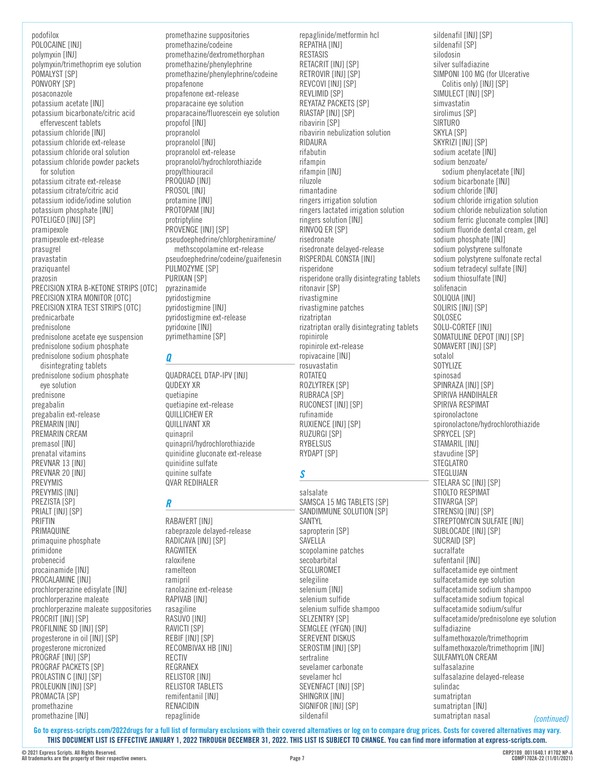podofilox POLOCAINE [INJ] polymyxin [INJ] polymyxin/trimethoprim eye solution POMALYST [SP] PONVORY [SP] posaconazole potassium acetate [INJ] potassium bicarbonate/citric acid effervescent tablets potassium chloride [INJ] potassium chloride ext-release potassium chloride oral solution potassium chloride powder packets for solution potassium citrate ext-release potassium citrate/citric acid potassium iodide/iodine solution potassium phosphate [INJ] POTELIGEO [INJ] [SP] pramipexole pramipexole ext-release prasugrel pravastatin praziquantel prazosin PRECISION XTRA B-KETONE STRIPS [OTC] PRECISION XTRA MONITOR [OTC] PRECISION XTRA TEST STRIPS [OTC] prednicarbate prednisolone prednisolone acetate eye suspension prednisolone sodium phosphate prednisolone sodium phosphate disintegrating tablets prednisolone sodium phosphate eye solution prednisone pregabalin pregabalin ext-release PREMARIN [INJ] PREMARIN CREAM premasol [INJ] prenatal vitamins PREVNAR 13 [INJ] PREVNAR 20 [INJ] PREVYMIS PREVYMIS [INJ] PREZISTA [SP] PRIALT **[INJ]** [SP] PRIFTIN PRIMAQUINE primaquine phosphate primidone probenecid procainamide [INJ] PROCALAMINE [INJ] prochlorperazine edisylate [INJ] prochlorperazine maleate prochlorperazine maleate suppositories PROCRIT [INJ] [SP] PROFILNINE SD [INJ] [SP] progesterone in oil [INJ] [SP] progesterone micronized PROGRAF [INJ] [SP] PROGRAF PACKETS [SP] PROLASTIN C [INJ] [SP]

promethazine suppositories promethazine/codeine promethazine/dextromethorphan promethazine/phenylephrine promethazine/phenylephrine/codeine propafenone propafenone ext-release proparacaine eye solution proparacaine/fluorescein eye solution propofol [INJ] propranolol propranolol [INJ] propranolol ext-release propranolol/hydrochlorothiazide propylthiouracil PROQUAD [INJ] PROSOL [INJ] protamine [INJ] PROTOPAM [INJ] protriptyline PROVENGE [INJ] [SP] pseudoephedrine/chlorpheniramine/ methscopolamine ext-release pseudoephedrine/codeine/guaifenesin PULMOZYME [SP] PURIXAN [SP] pyrazinamide pyridostigmine pyridostigmine [INJ] pyridostigmine ext-release pyridoxine [INJ] pyrimethamine [SP]

### *Q*

QUADRACEL DTAP-IPV [INJ] QUDEXY XR quetiapine quetiapine ext-release QUILLICHEW ER QUILLIVANT XR quinapril quinapril/hydrochlorothiazide quinidine gluconate ext-release quinidine sulfate quinine sulfate QVAR REDIHALER

#### *R*

RABAVERT [INJ] rabeprazole delayed-release RADICAVA [INJ] [SP] RAGWITEK raloxifene ramelteon ramipril ranolazine ext-release RAPIVAB [INJ] rasagiline RASUVO [INJ] RAVICTI [SP] REBIF [INJ] [SP] RECOMBIVAX HB [INJ] RECTIV REGRANEX RELISTOR [INJ] RELISTOR TABLETS remifentanil [INJ] RENACIDIN repaglinide

repaglinide/metformin hcl REPATHA [INJ] **RESTASIS** RETACRIT [INJ] [SP] RETROVIR [INJ] [SP] REVCOVI [INJ] [SP] REVLIMID [SP] REYATAZ PACKETS [SP] RIASTAP [INJ] [SP] ribavirin [SP] ribavirin nebulization solution RIDAURA rifabutin rifampin rifampin [INJ] riluzole rimantadine ringers irrigation solution ringers lactated irrigation solution ringers solution [INJ] RINVOQ ER [SP] risedronate risedronate delayed-release RISPERDAL CONSTA [INJ] risperidone risperidone orally disintegrating tablets ritonavir [SP] rivastigmine rivastigmine patches rizatriptan rizatriptan orally disintegrating tablets ropinirole ropinirole ext-release ropivacaine [INJ] rosuvastatin ROTATEQ ROZLYTREK [SP] RUBRACA [SP] RUCONEST [INJ] [SP] rufinamide RUXIENCE [INJ] [SP] RUZURGI [SP] RYBELSUS RYDAPT [SP]

# *S*

salsalate SAMSCA 15 MG TABLETS [SP] SANDIMMUNE SOLUTION [SP] SANTYL sapropterin [SP] SAVELLA scopolamine patches secobarbital SEGLUROMET selegiline selenium [INJ] selenium sulfide selenium sulfide shampoo SELZENTRY [SP] SEMGLEE (YFGN) [INJ] SEREVENT DISKUS SEROSTIM [INJ] [SP] sertraline sevelamer carbonate sevelamer hcl SEVENFACT [INJ] [SP] SHINGRIX [INJ] SIGNIFOR [INJ] [SP] sildenafil

sildenafil [INJ] [SP] sildenafil [SP] silodosin silver sulfadiazine SIMPONI 100 MG (for Ulcerative Colitis only) [INJ] [SP] SIMULECT [INJ] [SP] simvastatin sirolimus [SP] SIRTURO SKYLA [SP] SKYRIZI [INJ] [SP] sodium acetate [INJ] sodium benzoate/ sodium phenylacetate [INJ] sodium bicarbonate [INJ] sodium chloride [INJ] sodium chloride irrigation solution sodium chloride nebulization solution sodium ferric gluconate complex [INJ] sodium fluoride dental cream, gel sodium phosphate [INJ] sodium polystyrene sulfonate sodium polystyrene sulfonate rectal sodium tetradecyl sulfate [INJ] sodium thiosulfate [INJ] solifenacin SOLIQUA [INJ] SOLIRIS [INJ] [SP] SOLOSEC SOLU-CORTEF [INJ] SOMATULINE DEPOT [INJ] [SP] SOMAVERT [INJ] [SP] sotalol SOTYLIZE spinosad SPINRAZA [INJ] [SP] SPIRIVA HANDIHALER SPIRIVA RESPIMAT spironolactone spironolactone/hydrochlorothiazide SPRYCEL [SP] STAMARIL [INJ] stavudine [SP] STEGLATRO STEGLUJAN STELARA SC [INJ] [SP] STIOLTO RESPIMAT STIVARGA [SP] STRENSIQ [INJ] [SP] STREPTOMYCIN SULFATE [INJ] SUBLOCADE [INJ] [SP] SUCRAID [SP] sucralfate sufentanil [INJ] sulfacetamide eye ointment sulfacetamide eye solution sulfacetamide sodium shampoo sulfacetamide sodium topical sulfacetamide sodium/sulfur sulfacetamide/prednisolone eye solution sulfadiazine sulfamethoxazole/trimethoprim sulfamethoxazole/trimethoprim [INJ] SULFAMYLON CREAM sulfasalazine sulfasalazine delayed-release sulindac sumatriptan sumatriptan [INJ] sumatriptan nasal

**Go to [express-scripts.com/2022drugs](https://express-scripts.com/2022drugs) for a full list of formulary exclusions with their covered alternatives or log on to compare drug prices. Costs for covered alternatives may vary. THIS DOCUMENT LIST IS EFFECTIVE JANUARY 1, 2022 THROUGH DECEMBER 31, 2022. THIS LIST IS SUBJECT TO CHANGE. You can find more information at [express-scripts.com](https://express-scripts.com).**

PROLEUKIN [INJ] [SP] PROMACTA [SP] promethazine promethazine [INJ]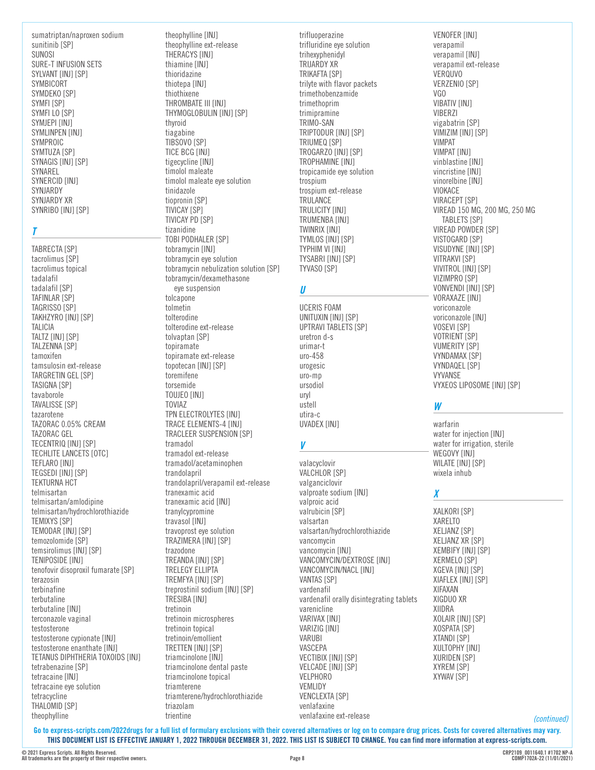sumatriptan/naproxen sodium sunitinib [SP] SUNOSI SURE-T INFUSION SETS SYLVANT [INJ] [SP] SYMBICORT SYMDEKO [SP] SYMFI [SP] SYMFI LO [SP] SYMJEPI [INJ] SYMLINPEN [INJ] SYMPROIC SYMTUZA [SP] SYNAGIS [INJ] [SP] SYNAREL SYNERCID [INJ] SYNJARDY SYNJARDY XR SYNRIBO [INJ] [SP]

#### *T*

TABRECTA [SP] tacrolimus [SP] tacrolimus topical tadalafil tadalafil [SP] TAFINLAR [SP] TAGRISSO [SP] TAKHZYRO [INJ] [SP] TALICIA TALTZ [INJ] [SP] TALZENNA [SP] tamoxifen tamsulosin ext-release TARGRETIN GEL [SP] TASIGNA [SP] tavaborole TAVALISSE [SP] tazarotene TAZORAC 0.05% CREAM TAZORAC GEL TECENTRIQ [INJ] [SP] TECHLITE LANCETS [OTC] TEFLARO [INJ] TEGSEDI [INJ] [SP] TEKTURNA HCT telmisartan telmisartan/amlodipine telmisartan/hydrochlorothiazide **TEMIXYS [SP]** TEMODAR [INJ] [SP] temozolomide [SP] temsirolimus [INJ] [SP] TENIPOSIDE [INJ] tenofovir disoproxil fumarate [SP] terazosin terbinafine terbutaline terbutaline [INJ] terconazole vaginal testosterone testosterone cypionate [INJ] testosterone enanthate [INJ] TETANUS DIPHTHERIA TOXOIDS [INJ] tetrabenazine [SP] tetracaine [INJ] tetracaine eye solution tetracycline

theophylline [INJ] theophylline ext-release THERACYS **[INJ]** thiamine [INJ] thioridazine thiotepa [INJ] thiothixene THROMBATE III [INJ] THYMOGLOBULIN [INJ] [SP] thyroid tiagabine TIBSOVO [SP] TICE BCG [INJ] tigecycline [INJ] timolol maleate timolol maleate eye solution tinidazole tiopronin [SP] TIVICAY [SP] TIVICAY PD [SP] tizanidine TOBI PODHALER [SP] tobramycin [INJ] tobramycin eye solution tobramycin nebulization solution [SP] tobramycin/dexamethasone eye suspension tolcapone tolmetin tolterodine tolterodine ext-release tolvaptan [SP] topiramate topiramate ext-release topotecan [INJ] [SP] toremifene torsemide TOUJEO [INJ] TOVIAZ TPN ELECTROLYTES [INJ] TRACE ELEMENTS-4 [INJ] TRACLEER SUSPENSION [SP] tramadol tramadol ext-release tramadol/acetaminophen trandolapril trandolapril/verapamil ext-release tranexamic acid tranexamic acid [INJ] tranylcypromine travasol [INJ] travoprost eye solution TRAZIMERA [INJ] [SP] trazodone TREANDA [INJ] [SP] TRELEGY ELLIPTA TREMFYA [INJ] [SP] treprostinil sodium [INJ] [SP] TRESIBA [INJ] tretinoin tretinoin microspheres tretinoin topical tretinoin/emollient TRETTEN [INJ] [SP] triamcinolone [INJ] triamcinolone dental paste triamcinolone topical triamterene

triamterene/hydrochlorothiazide

triazolam trientine

trifluoperazine trifluridine eye solution trihexyphenidyl TRIJARDY XR TRIKAFTA [SP] trilyte with flavor packets trimethobenzamide trimethoprim trimipramine TRIMO-SAN TRIPTODUR [INJ] [SP] TRIUMEQ [SP] TROGARZO [INJ] [SP] TROPHAMINE [INJ] tropicamide eye solution trospium trospium ext-release TRULANCE TRULICITY [INJ] TRUMENBA [INJ] TWINRIX [INJ] TYMLOS [INJ] [SP] TYPHIM VI [INJ] TYSABRI [INJ] [SP] TYVASO [SP] *U* UCERIS FOAM UNITUXIN [INJ] [SP]

UPTRAVI TABLETS [SP] uretron d-s urimar-t uro-458 urogesic uro-mp ursodiol uryl ustell utira-c UVADEX [INJ]

# *V*

valacyclovir VALCHLOR [SP] valganciclovir valproate sodium [INJ] valproic acid valrubicin [SP] valsartan valsartan/hydrochlorothiazide vancomycin vancomycin [INJ] VANCOMYCIN/DEXTROSE [INJ] VANCOMYCIN/NACL [INJ] **VANTAS [SP]** vardenafil vardenafil orally disintegrating tablets varenicline VARIVAX [INJ] VARIZIG [INJ] VARUBI VASCEPA VECTIBIX [INJ] [SP] VELCADE [INJ] [SP] VELPHORO VEMLIDY **VENCLEXTA [SP]** venlafaxine venlafaxine ext-release

VENOFER [INJ] verapamil verapamil [INJ] verapamil ext-release VERQUVO VERZENIO [SP] VGO **VIBATIV [INJ]** VIBERZI vigabatrin [SP] VIMIZIM [INJ] [SP] VIMPAT VIMPAT [INJ] vinblastine [INJ] vincristine [INJ] vinorelbine [INJ] VIOKACE VIRACEPT [SP] VIREAD 150 MG, 200 MG, 250 MG TABLETS [SP] VIREAD POWDER [SP] VISTOGARD [SP] VISUDYNE [INJ] [SP] VITRAKVI [SP] VIVITROL [INJ] [SP] VIZIMPRO [SP] VONVENDI [INJ] [SP] VORAXAZE [INJ] voriconazole voriconazole [INJ] VOSEVI [SP] **VOTRIENT [SP]** VUMERITY [SP] VYNDAMAX [SP] VYNDAQEL [SP] VYVANSE VYXEOS LIPOSOME [INJ] [SP]

# *W*

warfarin water for injection [INJ] water for irrigation, sterile WEGOVY [INJ] WILATE [INJ] [SP] wixela inhub

# *X*

XALKORI [SP] XARELTO XELJANZ [SP] XELJANZ XR [SP] XEMBIFY [INJ] [SP] XERMELO [SP] XGEVA [INJ] [SP] XIAFLEX [INJ] [SP] XIFAXAN XIGDUO XR XIIDRA XOLAIR [INJ] [SP] XOSPATA [SP] XTANDI [SP] XULTOPHY [INJ] XURIDEN [SP] XYREM [SP] XYWAV [SP]

*(continued)*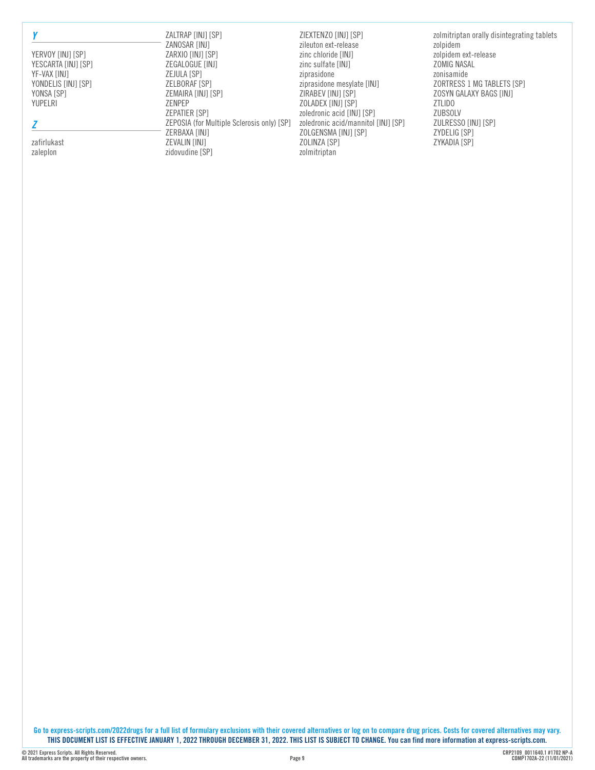YERVOY [INJ] [SP] YESCARTA [INJ] [SP] YF-VAX [INJ] YONDELIS [INJ] [SP] YONSA [SP] YUPELRI

### *Z*

zafirlukast zaleplon

ZALTRAP [INJ] [SP] ZANOSAR [INJ] ZARXIO [INJ] [SP] ZEGALOGUE [INJ] ZEJULA [SP] ZELBORAF [SP] ZEMAIRA [INJ] [SP] ZENPEP ZEPATIER [SP] ZEPOSIA (for Multiple Sclerosis only) [SP] ZERBAXA [INJ] **ZEVALIN [INJ]** zidovudine [SP]

ZIEXTENZO [INJ] [SP] zileuton ext-release zinc chloride [INJ] zinc sulfate [INJ] ziprasidone ziprasidone mesylate [INJ] ZIRABEV [INJ] [SP] ZOLADEX [INJ] [SP] zoledronic acid [INJ] [SP] zoledronic acid/mannitol [INJ] [SP] ZOLGENSMA [INJ] [SP] ZOLINZA [SP] zolmitriptan

zolmitriptan orally disintegrating tablets zolpidem zolpidem ext-release ZOMIG NASAL zonisamide ZORTRESS 1 MG TABLETS [SP] ZOSYN GALAXY BAGS [INJ] ZTLIDO ZUBSOLV ZULRESSO [INJ] [SP] ZYDELIG [SP] ZYKADIA [SP]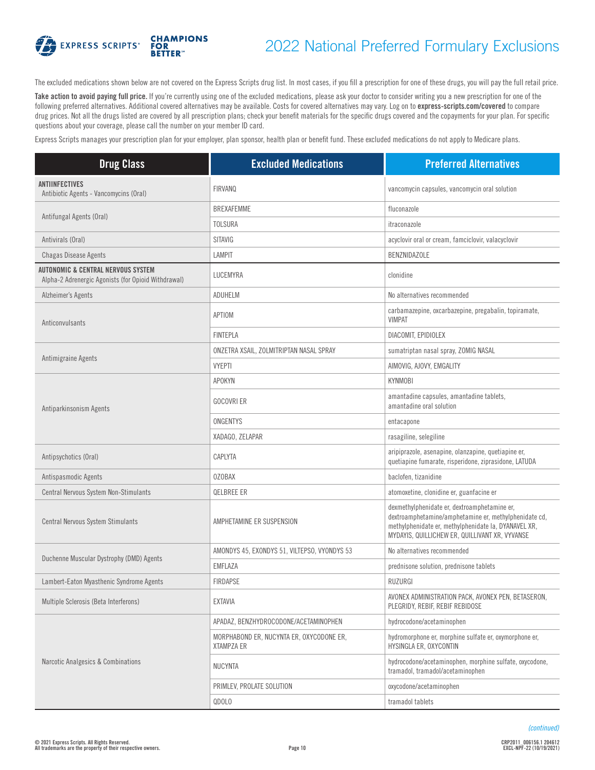

# 2022 National Preferred Formulary Exclusions

The excluded medications shown below are not covered on the Express Scripts drug list. In most cases, if you fill a prescription for one of these drugs, you will pay the full retail price.

Take action to avoid paying full price. If you're currently using one of the excluded medications, please ask your doctor to consider writing you a new prescription for one of the following preferred alternatives. Additional covered alternatives may be available. Costs for covered alternatives may vary. Log on to **[express-scripts.com/covered](https://express-scripts.com/covered)** to compare drug prices. Not all the drugs listed are covered by all prescription plans; check your benefit materials for the specific drugs covered and the copayments for your plan. For specific questions about your coverage, please call the number on your member ID card.

Express Scripts manages your prescription plan for your employer, plan sponsor, health plan or benefit fund. These excluded medications do not apply to Medicare plans.

| <b>Drug Class</b>                                                                                    | <b>Excluded Medications</b>                                   | <b>Preferred Alternatives</b>                                                                                                                                                                                   |
|------------------------------------------------------------------------------------------------------|---------------------------------------------------------------|-----------------------------------------------------------------------------------------------------------------------------------------------------------------------------------------------------------------|
| <b>ANTIINFECTIVES</b><br>Antibiotic Agents - Vancomycins (Oral)                                      | <b>FIRVANQ</b>                                                | vancomycin capsules, vancomycin oral solution                                                                                                                                                                   |
|                                                                                                      | <b>BREXAFEMME</b>                                             | fluconazole                                                                                                                                                                                                     |
| Antifungal Agents (Oral)                                                                             | <b>TOLSURA</b>                                                | itraconazole                                                                                                                                                                                                    |
| Antivirals (Oral)                                                                                    | SITAVIG                                                       | acyclovir oral or cream, famciclovir, valacyclovir                                                                                                                                                              |
| <b>Chagas Disease Agents</b>                                                                         | <b>LAMPIT</b>                                                 | <b>BENZNIDAZOLE</b>                                                                                                                                                                                             |
| <b>AUTONOMIC &amp; CENTRAL NERVOUS SYSTEM</b><br>Alpha-2 Adrenergic Agonists (for Opioid Withdrawal) | LUCEMYRA                                                      | clonidine                                                                                                                                                                                                       |
| Alzheimer's Agents                                                                                   | ADUHELM                                                       | No alternatives recommended                                                                                                                                                                                     |
| Anticonvulsants                                                                                      | APTIOM                                                        | carbamazepine, oxcarbazepine, pregabalin, topiramate,<br><b>VIMPAT</b>                                                                                                                                          |
|                                                                                                      | <b>FINTEPLA</b>                                               | DIACOMIT, EPIDIOLEX                                                                                                                                                                                             |
|                                                                                                      | ONZETRA XSAIL, ZOLMITRIPTAN NASAL SPRAY                       | sumatriptan nasal spray, ZOMIG NASAL                                                                                                                                                                            |
| Antimigraine Agents                                                                                  | <b>VYEPTI</b>                                                 | AIMOVIG, AJOVY, EMGALITY                                                                                                                                                                                        |
|                                                                                                      | APOKYN                                                        | <b>KYNMOBI</b>                                                                                                                                                                                                  |
| Antiparkinsonism Agents                                                                              | <b>GOCOVRI ER</b>                                             | amantadine capsules, amantadine tablets,<br>amantadine oral solution                                                                                                                                            |
|                                                                                                      | ONGENTYS                                                      | entacapone                                                                                                                                                                                                      |
|                                                                                                      | XADAGO, ZELAPAR                                               | rasagiline, selegiline                                                                                                                                                                                          |
| Antipsychotics (Oral)                                                                                | CAPLYTA                                                       | aripiprazole, asenapine, olanzapine, quetiapine er,<br>quetiapine fumarate, risperidone, ziprasidone, LATUDA                                                                                                    |
| Antispasmodic Agents                                                                                 | <b>OZOBAX</b>                                                 | baclofen, tizanidine                                                                                                                                                                                            |
| Central Nervous System Non-Stimulants                                                                | QELBREE ER                                                    | atomoxetine, clonidine er, guanfacine er                                                                                                                                                                        |
| Central Nervous System Stimulants                                                                    | AMPHETAMINE ER SUSPENSION                                     | dexmethylphenidate er, dextroamphetamine er,<br>dextroamphetamine/amphetamine er, methylphenidate cd,<br>methylphenidate er, methylphenidate la, DYANAVEL XR,<br>MYDAYIS, QUILLICHEW ER, QUILLIVANT XR, VYVANSE |
| Duchenne Muscular Dystrophy (DMD) Agents                                                             | AMONDYS 45, EXONDYS 51, VILTEPSO, VYONDYS 53                  | No alternatives recommended                                                                                                                                                                                     |
|                                                                                                      | EMFLAZA                                                       | prednisone solution, prednisone tablets                                                                                                                                                                         |
| Lambert-Eaton Myasthenic Syndrome Agents                                                             | <b>FIRDAPSE</b>                                               | RUZURGI                                                                                                                                                                                                         |
| Multiple Sclerosis (Beta Interferons)                                                                | <b>EXTAVIA</b>                                                | AVONEX ADMINISTRATION PACK, AVONEX PEN, BETASERON,<br>PLEGRIDY, REBIF, REBIF REBIDOSE                                                                                                                           |
| Narcotic Analgesics & Combinations                                                                   | APADAZ, BENZHYDROCODONE/ACETAMINOPHEN                         | hydrocodone/acetaminophen                                                                                                                                                                                       |
|                                                                                                      | MORPHABOND ER, NUCYNTA ER, OXYCODONE ER,<br><b>XTAMPZA ER</b> | hydromorphone er, morphine sulfate er, oxymorphone er,<br>HYSINGLA ER, OXYCONTIN                                                                                                                                |
|                                                                                                      | <b>NUCYNTA</b>                                                | hydrocodone/acetaminophen, morphine sulfate, oxycodone,<br>tramadol, tramadol/acetaminophen                                                                                                                     |
|                                                                                                      | PRIMLEV, PROLATE SOLUTION                                     | oxycodone/acetaminophen                                                                                                                                                                                         |
|                                                                                                      | QDOLO                                                         | tramadol tablets                                                                                                                                                                                                |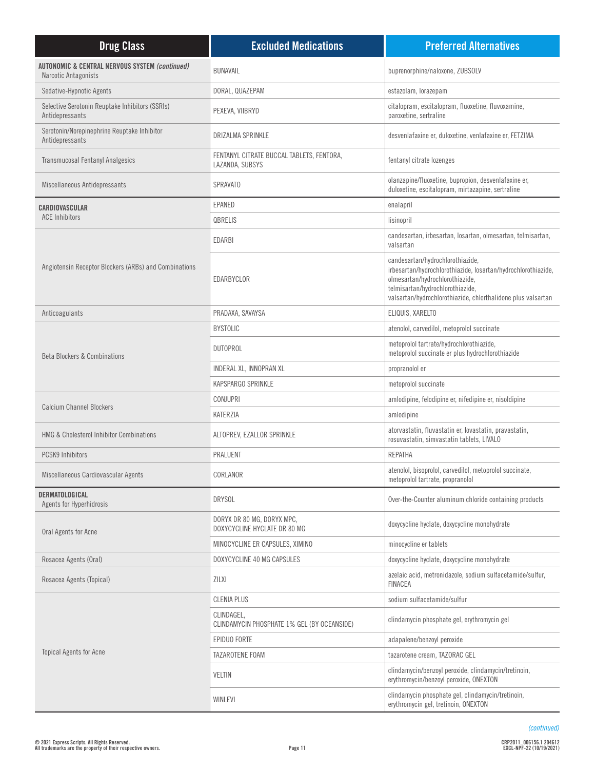| <b>Drug Class</b>                                                                 | <b>Excluded Medications</b>                                  | <b>Preferred Alternatives</b>                                                                                                                                                                                                            |
|-----------------------------------------------------------------------------------|--------------------------------------------------------------|------------------------------------------------------------------------------------------------------------------------------------------------------------------------------------------------------------------------------------------|
| <b>AUTONOMIC &amp; CENTRAL NERVOUS SYSTEM (continued)</b><br>Narcotic Antagonists | <b>BUNAVAIL</b>                                              | buprenorphine/naloxone, ZUBSOLV                                                                                                                                                                                                          |
| Sedative-Hypnotic Agents                                                          | DORAL, QUAZEPAM                                              | estazolam, lorazepam                                                                                                                                                                                                                     |
| Selective Serotonin Reuptake Inhibitors (SSRIs)<br>Antidepressants                | PEXEVA, VIIBRYD                                              | citalopram, escitalopram, fluoxetine, fluvoxamine,<br>paroxetine, sertraline                                                                                                                                                             |
| Serotonin/Norepinephrine Reuptake Inhibitor<br>Antidepressants                    | DRIZALMA SPRINKLE                                            | desvenlafaxine er, duloxetine, venlafaxine er, FETZIMA                                                                                                                                                                                   |
| <b>Transmucosal Fentanyl Analgesics</b>                                           | FENTANYL CITRATE BUCCAL TABLETS, FENTORA,<br>LAZANDA, SUBSYS | fentanyl citrate lozenges                                                                                                                                                                                                                |
| Miscellaneous Antidepressants                                                     | <b>SPRAVATO</b>                                              | olanzapine/fluoxetine, bupropion, desvenlafaxine er,<br>duloxetine, escitalopram, mirtazapine, sertraline                                                                                                                                |
| CARDIOVASCULAR                                                                    | EPANED                                                       | enalapril                                                                                                                                                                                                                                |
| <b>ACE Inhibitors</b>                                                             | QBRELIS                                                      | lisinopril                                                                                                                                                                                                                               |
|                                                                                   | EDARBI                                                       | candesartan, irbesartan, losartan, olmesartan, telmisartan,<br>valsartan                                                                                                                                                                 |
| Angiotensin Receptor Blockers (ARBs) and Combinations                             | EDARBYCLOR                                                   | candesartan/hydrochlorothiazide,<br>irbesartan/hydrochlorothiazide, losartan/hydrochlorothiazide,<br>olmesartan/hydrochlorothiazide,<br>telmisartan/hydrochlorothiazide,<br>valsartan/hydrochlorothiazide, chlorthalidone plus valsartan |
| Anticoagulants                                                                    | PRADAXA, SAVAYSA                                             | ELIQUIS, XARELTO                                                                                                                                                                                                                         |
|                                                                                   | <b>BYSTOLIC</b>                                              | atenolol, carvedilol, metoprolol succinate                                                                                                                                                                                               |
| <b>Beta Blockers &amp; Combinations</b>                                           | <b>DUTOPROL</b>                                              | metoprolol tartrate/hydrochlorothiazide,<br>metoprolol succinate er plus hydrochlorothiazide                                                                                                                                             |
|                                                                                   | INDERAL XL, INNOPRAN XL                                      | propranolol er                                                                                                                                                                                                                           |
|                                                                                   | KAPSPARGO SPRINKLE                                           | metoprolol succinate                                                                                                                                                                                                                     |
| <b>Calcium Channel Blockers</b>                                                   | CONJUPRI                                                     | amlodipine, felodipine er, nifedipine er, nisoldipine                                                                                                                                                                                    |
|                                                                                   | KATERZIA                                                     | amlodipine                                                                                                                                                                                                                               |
| <b>HMG &amp; Cholesterol Inhibitor Combinations</b>                               | ALTOPREV, EZALLOR SPRINKLE                                   | atorvastatin, fluvastatin er, lovastatin, pravastatin,<br>rosuvastatin, simvastatin tablets, LIVALO                                                                                                                                      |
| <b>PCSK9 Inhibitors</b>                                                           | PRALUENT                                                     | REPATHA                                                                                                                                                                                                                                  |
| Miscellaneous Cardiovascular Agents                                               | CORLANOR                                                     | atenolol, bisoprolol, carvedilol, metoprolol succinate,<br>metoprolol tartrate, propranolol                                                                                                                                              |
| DERMATOLOGICAL<br>Agents for Hyperhidrosis                                        | <b>DRYSOL</b>                                                | Over-the-Counter aluminum chloride containing products                                                                                                                                                                                   |
| Oral Agents for Acne                                                              | DORYX DR 80 MG, DORYX MPC,<br>DOXYCYCLINE HYCLATE DR 80 MG   | doxycycline hyclate, doxycycline monohydrate                                                                                                                                                                                             |
|                                                                                   | MINOCYCLINE ER CAPSULES, XIMINO                              | minocycline er tablets                                                                                                                                                                                                                   |
| Rosacea Agents (Oral)                                                             | DOXYCYCLINE 40 MG CAPSULES                                   | doxycycline hyclate, doxycycline monohydrate                                                                                                                                                                                             |
| Rosacea Agents (Topical)                                                          | <b>ZILXI</b>                                                 | azelaic acid, metronidazole, sodium sulfacetamide/sulfur,<br><b>FINACEA</b>                                                                                                                                                              |
|                                                                                   | <b>CLENIA PLUS</b>                                           | sodium sulfacetamide/sulfur                                                                                                                                                                                                              |
|                                                                                   | CLINDAGEL,<br>CLINDAMYCIN PHOSPHATE 1% GEL (BY OCEANSIDE)    | clindamycin phosphate gel, erythromycin gel                                                                                                                                                                                              |
|                                                                                   | EPIDUO FORTE                                                 | adapalene/benzoyl peroxide                                                                                                                                                                                                               |
| <b>Topical Agents for Acne</b>                                                    | TAZAROTENE FOAM                                              | tazarotene cream, TAZORAC GEL                                                                                                                                                                                                            |
|                                                                                   | <b>VELTIN</b>                                                | clindamycin/benzoyl peroxide, clindamycin/tretinoin,<br>erythromycin/benzoyl peroxide, ONEXTON                                                                                                                                           |
|                                                                                   | WINLEVI                                                      | clindamycin phosphate gel, clindamycin/tretinoin,<br>erythromycin gel, tretinoin, ONEXTON                                                                                                                                                |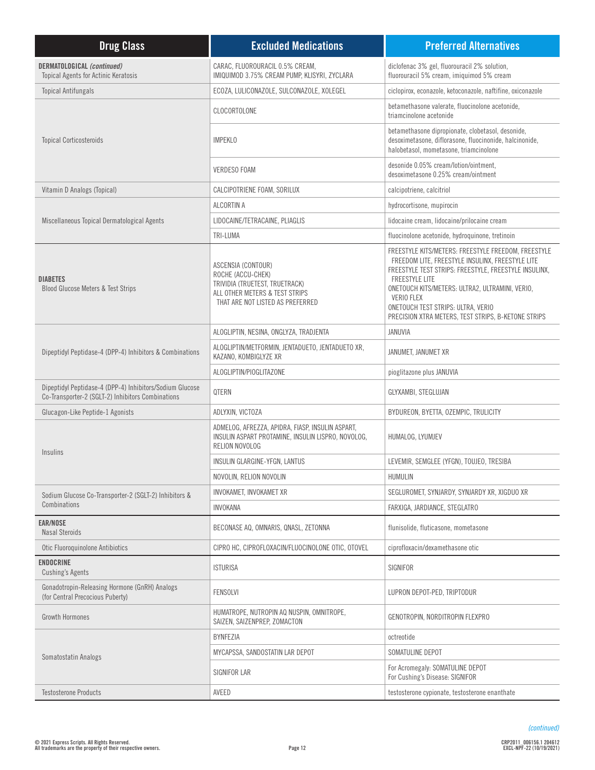| <b>Drug Class</b>                                                                                             | <b>Excluded Medications</b>                                                                                                                     | <b>Preferred Alternatives</b>                                                                                                                                                                                                                                                                                                                           |
|---------------------------------------------------------------------------------------------------------------|-------------------------------------------------------------------------------------------------------------------------------------------------|---------------------------------------------------------------------------------------------------------------------------------------------------------------------------------------------------------------------------------------------------------------------------------------------------------------------------------------------------------|
| DERMATOLOGICAL (continued)<br><b>Topical Agents for Actinic Keratosis</b>                                     | CARAC, FLUOROURACIL 0.5% CREAM,<br>IMIQUIMOD 3.75% CREAM PUMP, KLISYRI, ZYCLARA                                                                 | diclofenac 3% gel, fluorouracil 2% solution,<br>fluorouracil 5% cream, imiquimod 5% cream                                                                                                                                                                                                                                                               |
| <b>Topical Antifungals</b>                                                                                    | ECOZA, LULICONAZOLE, SULCONAZOLE, XOLEGEL                                                                                                       | ciclopirox, econazole, ketoconazole, naftifine, oxiconazole                                                                                                                                                                                                                                                                                             |
|                                                                                                               | CLOCORTOLONE                                                                                                                                    | betamethasone valerate, fluocinolone acetonide,<br>triamcinolone acetonide                                                                                                                                                                                                                                                                              |
| <b>Topical Corticosteroids</b>                                                                                | <b>IMPEKLO</b>                                                                                                                                  | betamethasone dipropionate, clobetasol, desonide,<br>desoximetasone, diflorasone, fluocinonide, halcinonide,<br>halobetasol, mometasone, triamcinolone                                                                                                                                                                                                  |
|                                                                                                               | <b>VERDESO FOAM</b>                                                                                                                             | desonide 0.05% cream/lotion/ointment,<br>desoximetasone 0.25% cream/ointment                                                                                                                                                                                                                                                                            |
| Vitamin D Analogs (Topical)                                                                                   | CALCIPOTRIENE FOAM, SORILUX                                                                                                                     | calcipotriene, calcitriol                                                                                                                                                                                                                                                                                                                               |
|                                                                                                               | ALCORTIN A                                                                                                                                      | hydrocortisone, mupirocin                                                                                                                                                                                                                                                                                                                               |
| Miscellaneous Topical Dermatological Agents                                                                   | LIDOCAINE/TETRACAINE, PLIAGLIS                                                                                                                  | lidocaine cream, lidocaine/prilocaine cream                                                                                                                                                                                                                                                                                                             |
|                                                                                                               | TRI-LUMA                                                                                                                                        | fluocinolone acetonide, hydroquinone, tretinoin                                                                                                                                                                                                                                                                                                         |
| <b>DIABETES</b><br>Blood Glucose Meters & Test Strips                                                         | ASCENSIA (CONTOUR)<br>ROCHE (ACCU-CHEK)<br>TRIVIDIA (TRUETEST, TRUETRACK)<br>ALL OTHER METERS & TEST STRIPS<br>THAT ARE NOT LISTED AS PREFERRED | FREESTYLE KITS/METERS: FREESTYLE FREEDOM, FREESTYLE<br>FREEDOM LITE, FREESTYLE INSULINX, FREESTYLE LITE<br>FREESTYLE TEST STRIPS: FREESTYLE, FREESTYLE INSULINX,<br><b>FREESTYLE LITE</b><br>ONETOUCH KITS/METERS: ULTRA2, ULTRAMINI, VERIO,<br>VERIO FLEX<br>ONETOUCH TEST STRIPS: ULTRA, VERIO<br>PRECISION XTRA METERS, TEST STRIPS, B-KETONE STRIPS |
|                                                                                                               | ALOGLIPTIN, NESINA, ONGLYZA, TRADJENTA                                                                                                          | <b>JANUVIA</b>                                                                                                                                                                                                                                                                                                                                          |
| Dipeptidyl Peptidase-4 (DPP-4) Inhibitors & Combinations                                                      | ALOGLIPTIN/METFORMIN, JENTADUETO, JENTADUETO XR,<br>KAZANO, KOMBIGLYZE XR                                                                       | JANUMET, JANUMET XR                                                                                                                                                                                                                                                                                                                                     |
|                                                                                                               | ALOGLIPTIN/PIOGLITAZONE                                                                                                                         | pioglitazone plus JANUVIA                                                                                                                                                                                                                                                                                                                               |
| Dipeptidyl Peptidase-4 (DPP-4) Inhibitors/Sodium Glucose<br>Co-Transporter-2 (SGLT-2) Inhibitors Combinations | QTERN                                                                                                                                           | GLYXAMBI, STEGLUJAN                                                                                                                                                                                                                                                                                                                                     |
| Glucagon-Like Peptide-1 Agonists                                                                              | ADLYXIN, VICTOZA                                                                                                                                | BYDUREON, BYETTA, OZEMPIC, TRULICITY                                                                                                                                                                                                                                                                                                                    |
| Insulins                                                                                                      | ADMELOG, AFREZZA, APIDRA, FIASP, INSULIN ASPART,<br>INSULIN ASPART PROTAMINE, INSULIN LISPRO, NOVOLOG,<br>RELION NOVOLOG                        | HUMALOG, LYUMJEV                                                                                                                                                                                                                                                                                                                                        |
|                                                                                                               | INSULIN GLARGINE-YFGN, LANTUS                                                                                                                   | LEVEMIR, SEMGLEE (YFGN), TOUJEO, TRESIBA                                                                                                                                                                                                                                                                                                                |
|                                                                                                               | NOVOLIN, RELION NOVOLIN                                                                                                                         | HUMULIN                                                                                                                                                                                                                                                                                                                                                 |
| Sodium Glucose Co-Transporter-2 (SGLT-2) Inhibitors &                                                         | INVOKAMET, INVOKAMET XR                                                                                                                         | SEGLUROMET, SYNJARDY, SYNJARDY XR, XIGDUO XR                                                                                                                                                                                                                                                                                                            |
| Combinations                                                                                                  | INVOKANA                                                                                                                                        | FARXIGA, JARDIANCE, STEGLATRO                                                                                                                                                                                                                                                                                                                           |
| <b>EAR/NOSE</b><br><b>Nasal Steroids</b>                                                                      | BECONASE AQ, OMNARIS, QNASL, ZETONNA                                                                                                            | flunisolide, fluticasone, mometasone                                                                                                                                                                                                                                                                                                                    |
| Otic Fluoroquinolone Antibiotics                                                                              | CIPRO HC, CIPROFLOXACIN/FLUOCINOLONE OTIC, OTOVEL                                                                                               | ciprofloxacin/dexamethasone otic                                                                                                                                                                                                                                                                                                                        |
| <b>ENDOCRINE</b><br><b>Cushing's Agents</b>                                                                   | <b>ISTURISA</b>                                                                                                                                 | SIGNIFOR                                                                                                                                                                                                                                                                                                                                                |
| Gonadotropin-Releasing Hormone (GnRH) Analogs<br>(for Central Precocious Puberty)                             | FENSOLVI                                                                                                                                        | LUPRON DEPOT-PED, TRIPTODUR                                                                                                                                                                                                                                                                                                                             |
| <b>Growth Hormones</b>                                                                                        | HUMATROPE, NUTROPIN AQ NUSPIN, OMNITROPE,<br>SAIZEN, SAIZENPREP, ZOMACTON                                                                       | GENOTROPIN, NORDITROPIN FLEXPRO                                                                                                                                                                                                                                                                                                                         |
|                                                                                                               | BYNFEZIA                                                                                                                                        | octreotide                                                                                                                                                                                                                                                                                                                                              |
| Somatostatin Analogs                                                                                          | MYCAPSSA, SANDOSTATIN LAR DEPOT                                                                                                                 | SOMATULINE DEPOT                                                                                                                                                                                                                                                                                                                                        |
|                                                                                                               | <b>SIGNIFOR LAR</b>                                                                                                                             | For Acromegaly: SOMATULINE DEPOT<br>For Cushing's Disease: SIGNIFOR                                                                                                                                                                                                                                                                                     |
| <b>Testosterone Products</b>                                                                                  | AVEED                                                                                                                                           | testosterone cypionate, testosterone enanthate                                                                                                                                                                                                                                                                                                          |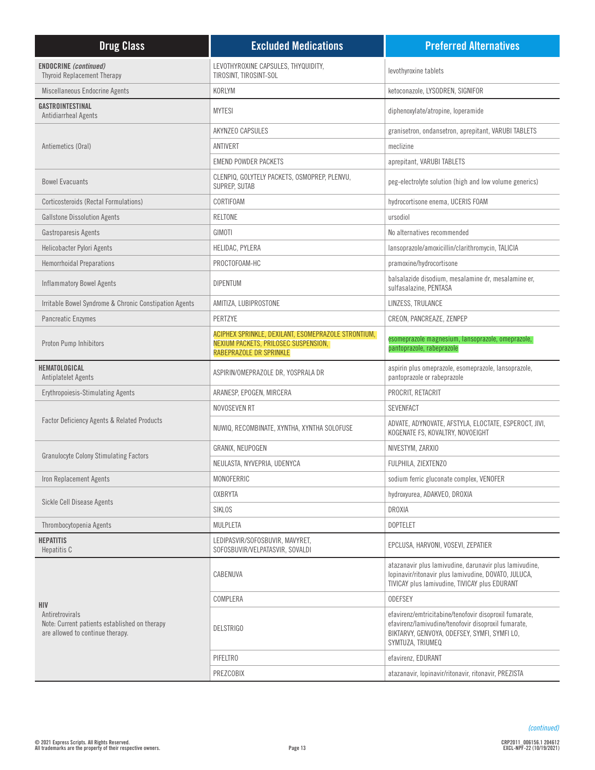| <b>Drug Class</b>                                                                                                  | <b>Excluded Medications</b>                                                                                                   | <b>Preferred Alternatives</b>                                                                                                                                                     |
|--------------------------------------------------------------------------------------------------------------------|-------------------------------------------------------------------------------------------------------------------------------|-----------------------------------------------------------------------------------------------------------------------------------------------------------------------------------|
| <b>ENDOCRINE</b> (continued)<br><b>Thyroid Replacement Therapy</b>                                                 | LEVOTHYROXINE CAPSULES, THYQUIDITY,<br>TIROSINT, TIROSINT-SOL                                                                 | levothyroxine tablets                                                                                                                                                             |
| Miscellaneous Endocrine Agents                                                                                     | KORLYM                                                                                                                        | ketoconazole, LYSODREN, SIGNIFOR                                                                                                                                                  |
| GASTROINTESTINAL<br>Antidiarrheal Agents                                                                           | <b>MYTESI</b>                                                                                                                 | diphenoxylate/atropine, loperamide                                                                                                                                                |
|                                                                                                                    | <b>AKYNZEO CAPSULES</b>                                                                                                       | granisetron, ondansetron, aprepitant, VARUBI TABLETS                                                                                                                              |
| Antiemetics (Oral)                                                                                                 | ANTIVERT                                                                                                                      | meclizine                                                                                                                                                                         |
|                                                                                                                    | <b>EMEND POWDER PACKETS</b>                                                                                                   | aprepitant, VARUBI TABLETS                                                                                                                                                        |
| <b>Bowel Evacuants</b>                                                                                             | CLENPIQ, GOLYTELY PACKETS, OSMOPREP, PLENVU,<br>SUPREP, SUTAB                                                                 | peg-electrolyte solution (high and low volume generics)                                                                                                                           |
| Corticosteroids (Rectal Formulations)                                                                              | CORTIFOAM                                                                                                                     | hydrocortisone enema, UCERIS FOAM                                                                                                                                                 |
| <b>Gallstone Dissolution Agents</b>                                                                                | RELTONE                                                                                                                       | ursodiol                                                                                                                                                                          |
| Gastroparesis Agents                                                                                               | GIMOTI                                                                                                                        | No alternatives recommended                                                                                                                                                       |
| Helicobacter Pylori Agents                                                                                         | HELIDAC, PYLERA                                                                                                               | lansoprazole/amoxicillin/clarithromycin, TALICIA                                                                                                                                  |
| <b>Hemorrhoidal Preparations</b>                                                                                   | PROCTOFOAM-HC                                                                                                                 | pramoxine/hydrocortisone                                                                                                                                                          |
| <b>Inflammatory Bowel Agents</b>                                                                                   | <b>DIPENTUM</b>                                                                                                               | balsalazide disodium, mesalamine dr, mesalamine er,<br>sulfasalazine, PENTASA                                                                                                     |
| Irritable Bowel Syndrome & Chronic Constipation Agents                                                             | AMITIZA, LUBIPROSTONE                                                                                                         | LINZESS, TRULANCE                                                                                                                                                                 |
| Pancreatic Enzymes                                                                                                 | PERTZYE                                                                                                                       | CREON, PANCREAZE, ZENPEP                                                                                                                                                          |
| Proton Pump Inhibitors                                                                                             | ACIPHEX SPRINKLE, DEXILANT, ESOMEPRAZOLE STRONTIUM,<br><b>NEXIUM PACKETS, PRILOSEC SUSPENSION,</b><br>RABEPRAZOLE DR SPRINKLE | esomeprazole magnesium, lansoprazole, omeprazole,<br>pantoprazole, rabeprazole                                                                                                    |
| HEMATOLOGICAL<br><b>Antiplatelet Agents</b>                                                                        | ASPIRIN/OMEPRAZOLE DR, YOSPRALA DR                                                                                            | aspirin plus omeprazole, esomeprazole, lansoprazole,<br>pantoprazole or rabeprazole                                                                                               |
| <b>Erythropoiesis-Stimulating Agents</b>                                                                           | ARANESP, EPOGEN, MIRCERA                                                                                                      | PROCRIT, RETACRIT                                                                                                                                                                 |
|                                                                                                                    | NOVOSEVEN RT                                                                                                                  | <b>SEVENFACT</b>                                                                                                                                                                  |
| <b>Factor Deficiency Agents &amp; Related Products</b>                                                             | NUWIQ, RECOMBINATE, XYNTHA, XYNTHA SOLOFUSE                                                                                   | ADVATE, ADYNOVATE, AFSTYLA, ELOCTATE, ESPEROCT, JIVI,<br>KOGENATE FS, KOVALTRY, NOVOEIGHT                                                                                         |
|                                                                                                                    | GRANIX, NEUPOGEN                                                                                                              | NIVESTYM, ZARXIO                                                                                                                                                                  |
| <b>Granulocyte Colony Stimulating Factors</b>                                                                      | NEULASTA, NYVEPRIA, UDENYCA                                                                                                   | FULPHILA, ZIEXTENZO                                                                                                                                                               |
| Iron Replacement Agents                                                                                            | MONOFERRIC                                                                                                                    | sodium ferric gluconate complex, VENOFER                                                                                                                                          |
|                                                                                                                    | <b>OXBRYTA</b>                                                                                                                | hydroxyurea, ADAKVEO, DROXIA                                                                                                                                                      |
| Sickle Cell Disease Agents                                                                                         | SIKLOS                                                                                                                        | <b>DROXIA</b>                                                                                                                                                                     |
| Thrombocytopenia Agents                                                                                            | MULPLETA                                                                                                                      | <b>DOPTELET</b>                                                                                                                                                                   |
| <b>HEPATITIS</b><br>Hepatitis C                                                                                    | LEDIPASVIR/SOFOSBUVIR, MAVYRET,<br>SOFOSBUVIR/VELPATASVIR, SOVALDI                                                            | EPCLUSA, HARVONI, VOSEVI, ZEPATIER                                                                                                                                                |
| <b>HIV</b><br>Antiretrovirals<br>Note: Current patients established on therapy<br>are allowed to continue therapy. | CABENUVA                                                                                                                      | atazanavir plus lamivudine, darunavir plus lamivudine,<br>lopinavir/ritonavir plus lamivudine, DOVATO, JULUCA,<br><b>TIVICAY plus lamivudine. TIVICAY plus EDURANT</b>            |
|                                                                                                                    | COMPLERA                                                                                                                      | <b>ODEFSEY</b>                                                                                                                                                                    |
|                                                                                                                    | <b>DELSTRIGO</b>                                                                                                              | efavirenz/emtricitabine/tenofovir disoproxil fumarate,<br>efavirenz/lamivudine/tenofovir disoproxil fumarate,<br>BIKTARVY, GENVOYA, ODEFSEY, SYMFI, SYMFI LO,<br>SYMTUZA, TRIUMEQ |
|                                                                                                                    | PIFELTRO                                                                                                                      | efavirenz, EDURANT                                                                                                                                                                |
|                                                                                                                    | PREZCOBIX                                                                                                                     | atazanavir, lopinavir/ritonavir, ritonavir, PREZISTA                                                                                                                              |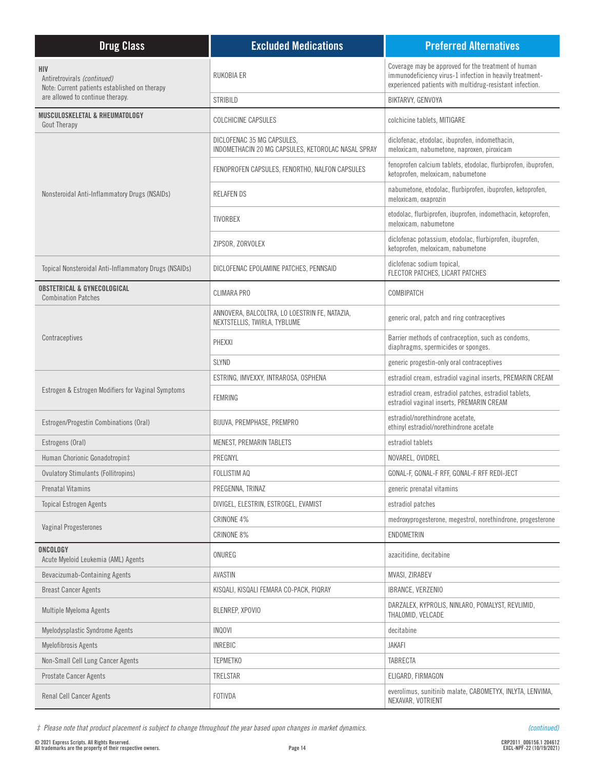| <b>Drug Class</b>                                                                   | <b>Excluded Medications</b>                                                      | <b>Preferred Alternatives</b>                                                                                                                                               |
|-------------------------------------------------------------------------------------|----------------------------------------------------------------------------------|-----------------------------------------------------------------------------------------------------------------------------------------------------------------------------|
| HIV<br>Antiretrovirals (continued)<br>Note: Current patients established on therapy | RUKOBIA ER                                                                       | Coverage may be approved for the treatment of human<br>immunodeficiency virus-1 infection in heavily treatment-<br>experienced patients with multidrug-resistant infection. |
| are allowed to continue therapy.                                                    | <b>STRIBILD</b>                                                                  | BIKTARVY, GENVOYA                                                                                                                                                           |
| MUSCULOSKELETAL & RHEUMATOLOGY<br><b>Gout Therapy</b>                               | <b>COLCHICINE CAPSULES</b>                                                       | colchicine tablets, MITIGARE                                                                                                                                                |
|                                                                                     | DICLOFENAC 35 MG CAPSULES,<br>INDOMETHACIN 20 MG CAPSULES, KETOROLAC NASAL SPRAY | diclofenac, etodolac, ibuprofen, indomethacin,<br>meloxicam, nabumetone, naproxen, piroxicam                                                                                |
| Nonsteroidal Anti-Inflammatory Drugs (NSAIDs)                                       | FENOPROFEN CAPSULES, FENORTHO, NALFON CAPSULES                                   | fenoprofen calcium tablets, etodolac, flurbiprofen, ibuprofen,<br>ketoprofen, meloxicam, nabumetone                                                                         |
|                                                                                     | <b>RELAFENDS</b>                                                                 | nabumetone, etodolac, flurbiprofen, ibuprofen, ketoprofen,<br>meloxicam, oxaprozin                                                                                          |
|                                                                                     | <b>TIVORBEX</b>                                                                  | etodolac, flurbiprofen, ibuprofen, indomethacin, ketoprofen,<br>meloxicam, nabumetone                                                                                       |
|                                                                                     | ZIPSOR, ZORVOLEX                                                                 | diclofenac potassium, etodolac, flurbiprofen, ibuprofen,<br>ketoprofen, meloxicam, nabumetone                                                                               |
| Topical Nonsteroidal Anti-Inflammatory Drugs (NSAIDs)                               | DICLOFENAC EPOLAMINE PATCHES, PENNSAID                                           | diclofenac sodium topical,<br>FLECTOR PATCHES, LICART PATCHES                                                                                                               |
| <b>OBSTETRICAL &amp; GYNECOLOGICAL</b><br><b>Combination Patches</b>                | <b>CLIMARA PRO</b>                                                               | COMBIPATCH                                                                                                                                                                  |
|                                                                                     | ANNOVERA, BALCOLTRA, LO LOESTRIN FE, NATAZIA,<br>NEXTSTELLIS, TWIRLA, TYBLUME    | generic oral, patch and ring contraceptives                                                                                                                                 |
| Contraceptives                                                                      | PHEXXI                                                                           | Barrier methods of contraception, such as condoms,<br>diaphragms, spermicides or sponges.                                                                                   |
|                                                                                     | SLYND                                                                            | generic progestin-only oral contraceptives                                                                                                                                  |
|                                                                                     | ESTRING, IMVEXXY, INTRAROSA, OSPHENA                                             | estradiol cream, estradiol vaginal inserts, PREMARIN CREAM                                                                                                                  |
| Estrogen & Estrogen Modifiers for Vaginal Symptoms                                  | FEMRING                                                                          | estradiol cream, estradiol patches, estradiol tablets,<br>estradiol vaginal inserts, PREMARIN CREAM                                                                         |
| Estrogen/Progestin Combinations (Oral)                                              | BIJUVA, PREMPHASE, PREMPRO                                                       | estradiol/norethindrone acetate.<br>ethinyl estradiol/norethindrone acetate                                                                                                 |
| Estrogens (Oral)                                                                    | MENEST, PREMARIN TABLETS                                                         | estradiol tablets                                                                                                                                                           |
| Human Chorionic Gonadotropin‡                                                       | PREGNYL                                                                          | NOVAREL, OVIDREL                                                                                                                                                            |
| <b>Ovulatory Stimulants (Follitropins)</b>                                          | FOLLISTIM AQ                                                                     | GONAL-F, GONAL-F RFF, GONAL-F RFF REDI-JECT                                                                                                                                 |
| <b>Prenatal Vitamins</b>                                                            | PREGENNA, TRINAZ                                                                 | generic prenatal vitamins                                                                                                                                                   |
| <b>Topical Estrogen Agents</b>                                                      | DIVIGEL, ELESTRIN, ESTROGEL, EVAMIST                                             | estradiol patches                                                                                                                                                           |
| Vaginal Progesterones                                                               | CRINONE 4%                                                                       | medroxyprogesterone, megestrol, norethindrone, progesterone                                                                                                                 |
|                                                                                     | CRINONE 8%                                                                       | <b>ENDOMETRIN</b>                                                                                                                                                           |
| ONCOLOGY<br>Acute Myeloid Leukemia (AML) Agents                                     | ONUREG                                                                           | azacitidine, decitabine                                                                                                                                                     |
| Bevacizumab-Containing Agents                                                       | AVASTIN                                                                          | MVASI, ZIRABEV                                                                                                                                                              |
| <b>Breast Cancer Agents</b>                                                         | KISQALI, KISQALI FEMARA CO-PACK, PIQRAY                                          | IBRANCE, VERZENIO                                                                                                                                                           |
| Multiple Myeloma Agents                                                             | BLENREP, XPOVIO                                                                  | DARZALEX, KYPROLIS, NINLARO, POMALYST, REVLIMID,<br>THALOMID, VELCADE                                                                                                       |
| Myelodysplastic Syndrome Agents                                                     | <b>INQOVI</b>                                                                    | decitabine                                                                                                                                                                  |
| Myelofibrosis Agents                                                                | <b>INREBIC</b>                                                                   | <b>JAKAFI</b>                                                                                                                                                               |
| Non-Small Cell Lung Cancer Agents                                                   | <b>TEPMETKO</b>                                                                  | <b>TABRECTA</b>                                                                                                                                                             |
| <b>Prostate Cancer Agents</b>                                                       | TRELSTAR                                                                         | ELIGARD, FIRMAGON                                                                                                                                                           |
| Renal Cell Cancer Agents                                                            | FOTIVDA                                                                          | everolimus, sunitinib malate, CABOMETYX, INLYTA, LENVIMA,<br>NEXAVAR, VOTRIENT                                                                                              |

*‡ Please note that product placement is subject to change throughout the year based upon changes in market dynamics.*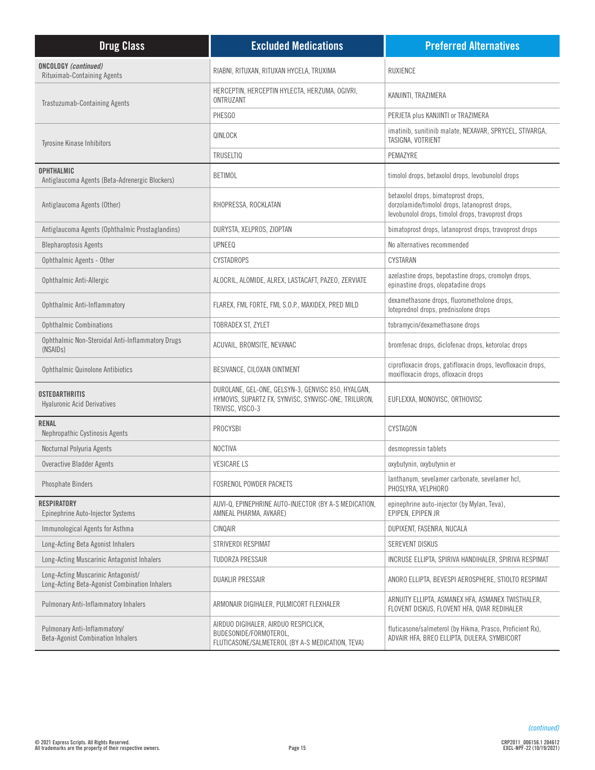| <b>Drug Class</b>                                                                   | <b>Excluded Medications</b>                                                                                                    | <b>Preferred Alternatives</b>                                                                                                              |
|-------------------------------------------------------------------------------------|--------------------------------------------------------------------------------------------------------------------------------|--------------------------------------------------------------------------------------------------------------------------------------------|
| <b>ONCOLOGY</b> (continued)<br><b>Rituximab-Containing Agents</b>                   | RIABNI, RITUXAN, RITUXAN HYCELA, TRUXIMA                                                                                       | <b>RUXIENCE</b>                                                                                                                            |
| Trastuzumab-Containing Agents                                                       | HERCEPTIN, HERCEPTIN HYLECTA, HERZUMA, OGIVRI,<br>ONTRUZANT                                                                    | KANJINTI, TRAZIMERA                                                                                                                        |
|                                                                                     | PHESGO                                                                                                                         | PERJETA plus KANJINTI or TRAZIMERA                                                                                                         |
| <b>Tyrosine Kinase Inhibitors</b>                                                   | QINLOCK                                                                                                                        | imatinib, sunitinib malate, NEXAVAR, SPRYCEL, STIVARGA,<br>TASIGNA, VOTRIENT                                                               |
|                                                                                     | <b>TRUSELTIQ</b>                                                                                                               | PEMAZYRE                                                                                                                                   |
| <b>OPHTHALMIC</b><br>Antiglaucoma Agents (Beta-Adrenergic Blockers)                 | <b>BETIMOL</b>                                                                                                                 | timolol drops, betaxolol drops, levobunolol drops                                                                                          |
| Antiglaucoma Agents (Other)                                                         | RHOPRESSA, ROCKLATAN                                                                                                           | betaxolol drops, bimatoprost drops,<br>dorzolamide/timolol drops, latanoprost drops,<br>levobunolol drops, timolol drops, travoprost drops |
| Antiglaucoma Agents (Ophthalmic Prostaglandins)                                     | DURYSTA, XELPROS, ZIOPTAN                                                                                                      | bimatoprost drops, latanoprost drops, travoprost drops                                                                                     |
| <b>Blepharoptosis Agents</b>                                                        | <b>UPNEEQ</b>                                                                                                                  | No alternatives recommended                                                                                                                |
| Ophthalmic Agents - Other                                                           | <b>CYSTADROPS</b>                                                                                                              | CYSTARAN                                                                                                                                   |
| Ophthalmic Anti-Allergic                                                            | ALOCRIL, ALOMIDE, ALREX, LASTACAFT, PAZEO, ZERVIATE                                                                            | azelastine drops, bepotastine drops, cromolyn drops,<br>epinastine drops, olopatadine drops                                                |
| Ophthalmic Anti-Inflammatory                                                        | FLAREX, FML FORTE, FML S.O.P., MAXIDEX, PRED MILD                                                                              | dexamethasone drops, fluorometholone drops,<br>loteprednol drops, prednisolone drops                                                       |
| <b>Ophthalmic Combinations</b>                                                      | TOBRADEX ST, ZYLET                                                                                                             | tobramycin/dexamethasone drops                                                                                                             |
| Ophthalmic Non-Steroidal Anti-Inflammatory Drugs<br>(NSAID <sub>s</sub> )           | ACUVAIL, BROMSITE, NEVANAC                                                                                                     | bromfenac drops, diclofenac drops, ketorolac drops                                                                                         |
| <b>Ophthalmic Quinolone Antibiotics</b>                                             | BESIVANCE, CILOXAN OINTMENT                                                                                                    | ciprofloxacin drops, gatifloxacin drops, levofloxacin drops,<br>moxifloxacin drops, ofloxacin drops                                        |
| <b>OSTEOARTHRITIS</b><br><b>Hyaluronic Acid Derivatives</b>                         | DUROLANE, GEL-ONE, GELSYN-3, GENVISC 850, HYALGAN,<br>HYMOVIS, SUPARTZ FX, SYNVISC, SYNVISC-ONE, TRILURON,<br>TRIVISC, VISCO-3 | EUFLEXXA, MONOVISC, ORTHOVISC                                                                                                              |
| <b>RENAL</b><br>Nephropathic Cystinosis Agents                                      | PROCYSBI                                                                                                                       | CYSTAGON                                                                                                                                   |
| Nocturnal Polyuria Agents                                                           | <b>NOCTIVA</b>                                                                                                                 | desmopressin tablets                                                                                                                       |
| Overactive Bladder Agents                                                           | <b>VESICARE LS</b>                                                                                                             | oxybutynin, oxybutynin er                                                                                                                  |
| <b>Phosphate Binders</b>                                                            | <b>FOSRENOL POWDER PACKETS</b>                                                                                                 | lanthanum, sevelamer carbonate, sevelamer hcl,<br>PHOSLYRA, VELPHORO                                                                       |
| <b>RESPIRATORY</b><br>Epinephrine Auto-Injector Systems                             | AUVI-Q, EPINEPHRINE AUTO-INJECTOR (BY A-S MEDICATION,<br>AMNEAL PHARMA, AVKARE)                                                | epinephrine auto-injector (by Mylan, Teva),<br>EPIPEN, EPIPEN JR                                                                           |
| Immunological Agents for Asthma                                                     | CINQAIR                                                                                                                        | DUPIXENT, FASENRA, NUCALA                                                                                                                  |
| Long-Acting Beta Agonist Inhalers                                                   | STRIVERDI RESPIMAT                                                                                                             | <b>SEREVENT DISKUS</b>                                                                                                                     |
| Long-Acting Muscarinic Antagonist Inhalers                                          | TUDORZA PRESSAIR                                                                                                               | INCRUSE ELLIPTA, SPIRIVA HANDIHALER, SPIRIVA RESPIMAT                                                                                      |
| Long-Acting Muscarinic Antagonist/<br>Long-Acting Beta-Agonist Combination Inhalers | <b>DUAKLIR PRESSAIR</b>                                                                                                        | ANORO ELLIPTA, BEVESPI AEROSPHERE, STIOLTO RESPIMAT                                                                                        |
| <b>Pulmonary Anti-Inflammatory Inhalers</b>                                         | ARMONAIR DIGIHALER, PULMICORT FLEXHALER                                                                                        | ARNUITY ELLIPTA, ASMANEX HFA, ASMANEX TWISTHALER,<br>FLOVENT DISKUS, FLOVENT HFA, QVAR REDIHALER                                           |
| Pulmonary Anti-Inflammatory/<br><b>Beta-Agonist Combination Inhalers</b>            | AIRDUO DIGIHALER, AIRDUO RESPICLICK,<br>BUDESONIDE/FORMOTEROL,<br>FLUTICASONE/SALMETEROL (BY A-S MEDICATION, TEVA)             | fluticasone/salmeterol (by Hikma, Prasco, Proficient Rx),<br>ADVAIR HFA, BREO ELLIPTA, DULERA, SYMBICORT                                   |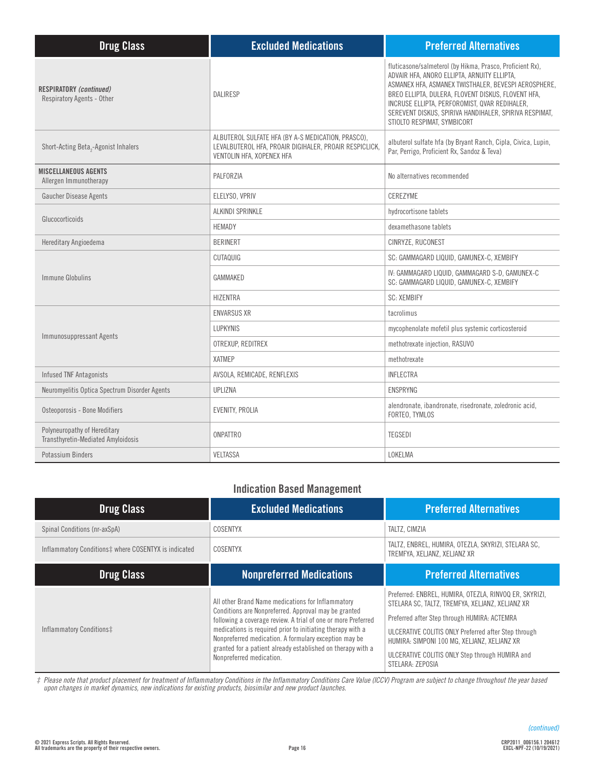| <b>Drug Class</b>                                                   | <b>Excluded Medications</b>                                                                                                               | <b>Preferred Alternatives</b>                                                                                                                                                                                                                                                                                                                                    |
|---------------------------------------------------------------------|-------------------------------------------------------------------------------------------------------------------------------------------|------------------------------------------------------------------------------------------------------------------------------------------------------------------------------------------------------------------------------------------------------------------------------------------------------------------------------------------------------------------|
| <b>RESPIRATORY (continued)</b><br><b>Respiratory Agents - Other</b> | <b>DALIRESP</b>                                                                                                                           | fluticasone/salmeterol (by Hikma, Prasco, Proficient Rx),<br>ADVAIR HFA, ANORO ELLIPTA, ARNUITY ELLIPTA,<br>ASMANEX HFA, ASMANEX TWISTHALER, BEVESPI AEROSPHERE,<br>BREO ELLIPTA, DULERA, FLOVENT DISKUS, FLOVENT HFA,<br>INCRUSE ELLIPTA, PERFOROMIST, QVAR REDIHALER,<br>SEREVENT DISKUS, SPIRIVA HANDIHALER, SPIRIVA RESPIMAT,<br>STIOLTO RESPIMAT, SYMBICORT |
| Short-Acting Beta <sub>2</sub> -Agonist Inhalers                    | ALBUTEROL SULFATE HFA (BY A-S MEDICATION, PRASCO),<br>LEVALBUTEROL HFA, PROAIR DIGIHALER, PROAIR RESPICLICK,<br>VENTOLIN HFA, XOPENEX HFA | albuterol sulfate hfa (by Bryant Ranch, Cipla, Civica, Lupin,<br>Par, Perrigo, Proficient Rx, Sandoz & Teva)                                                                                                                                                                                                                                                     |
| <b>MISCELLANEOUS AGENTS</b><br>Allergen Immunotherapy               | PALFORZIA                                                                                                                                 | No alternatives recommended                                                                                                                                                                                                                                                                                                                                      |
| <b>Gaucher Disease Agents</b>                                       | ELELYSO, VPRIV                                                                                                                            | CEREZYME                                                                                                                                                                                                                                                                                                                                                         |
| Glucocorticoids                                                     | ALKINDI SPRINKLE                                                                                                                          | hydrocortisone tablets                                                                                                                                                                                                                                                                                                                                           |
|                                                                     | <b>HEMADY</b>                                                                                                                             | dexamethasone tablets                                                                                                                                                                                                                                                                                                                                            |
| Hereditary Angioedema                                               | <b>BERINERT</b>                                                                                                                           | CINRYZE, RUCONEST                                                                                                                                                                                                                                                                                                                                                |
|                                                                     | CUTAQUIG                                                                                                                                  | SC: GAMMAGARD LIQUID, GAMUNEX-C, XEMBIFY                                                                                                                                                                                                                                                                                                                         |
| Immune Globulins                                                    | GAMMAKED                                                                                                                                  | IV: GAMMAGARD LIQUID, GAMMAGARD S-D, GAMUNEX-C<br>SC: GAMMAGARD LIQUID, GAMUNEX-C, XEMBIFY                                                                                                                                                                                                                                                                       |
|                                                                     | <b>HIZENTRA</b>                                                                                                                           | <b>SC: XEMBIFY</b>                                                                                                                                                                                                                                                                                                                                               |
|                                                                     | <b>ENVARSUS XR</b>                                                                                                                        | tacrolimus                                                                                                                                                                                                                                                                                                                                                       |
|                                                                     | <b>LUPKYNIS</b>                                                                                                                           | mycophenolate mofetil plus systemic corticosteroid                                                                                                                                                                                                                                                                                                               |
| Immunosuppressant Agents                                            | OTREXUP, REDITREX                                                                                                                         | methotrexate injection, RASUVO                                                                                                                                                                                                                                                                                                                                   |
|                                                                     | <b>XATMEP</b>                                                                                                                             | methotrexate                                                                                                                                                                                                                                                                                                                                                     |
| <b>Infused TNF Antagonists</b>                                      | AVSOLA, REMICADE, RENFLEXIS                                                                                                               | <b>INFLECTRA</b>                                                                                                                                                                                                                                                                                                                                                 |
| Neuromyelitis Optica Spectrum Disorder Agents                       | UPLIZNA                                                                                                                                   | <b>ENSPRYNG</b>                                                                                                                                                                                                                                                                                                                                                  |
| Osteoporosis - Bone Modifiers                                       | EVENITY, PROLIA                                                                                                                           | alendronate, ibandronate, risedronate, zoledronic acid,<br>FORTEO, TYMLOS                                                                                                                                                                                                                                                                                        |
| Polyneuropathy of Hereditary<br>Transthyretin-Mediated Amyloidosis  | <b>ONPATTRO</b>                                                                                                                           | <b>TEGSEDI</b>                                                                                                                                                                                                                                                                                                                                                   |
| Potassium Binders                                                   | <b>VELTASSA</b>                                                                                                                           | LOKELMA                                                                                                                                                                                                                                                                                                                                                          |

# **Indication Based Management**

| <b>Drug Class</b>                                    | <b>Excluded Medications</b>                                                                                                                                                                                                                                                                                                                                                                  | <b>Preferred Alternatives</b>                                                                                                                                                                                                                                                                                                           |
|------------------------------------------------------|----------------------------------------------------------------------------------------------------------------------------------------------------------------------------------------------------------------------------------------------------------------------------------------------------------------------------------------------------------------------------------------------|-----------------------------------------------------------------------------------------------------------------------------------------------------------------------------------------------------------------------------------------------------------------------------------------------------------------------------------------|
| Spinal Conditions (nr-axSpA)                         | <b>COSENTYX</b>                                                                                                                                                                                                                                                                                                                                                                              | TALTZ, CIMZIA                                                                                                                                                                                                                                                                                                                           |
| Inflammatory Conditions‡ where COSENTYX is indicated | COSENTYX                                                                                                                                                                                                                                                                                                                                                                                     | TALTZ, ENBREL, HUMIRA, OTEZLA, SKYRIZI, STELARA SC,<br>TREMFYA, XELJANZ, XELJANZ XR                                                                                                                                                                                                                                                     |
| <b>Drug Class</b>                                    | <b>Nonpreferred Medications</b>                                                                                                                                                                                                                                                                                                                                                              | <b>Preferred Alternatives</b>                                                                                                                                                                                                                                                                                                           |
| Inflammatory Conditions‡                             | All other Brand Name medications for Inflammatory<br>Conditions are Nonpreferred. Approval may be granted<br>following a coverage review. A trial of one or more Preferred<br>medications is required prior to initiating therapy with a<br>Nonpreferred medication. A formulary exception may be<br>granted for a patient already established on therapy with a<br>Nonpreferred medication. | Preferred: ENBREL, HUMIRA, OTEZLA, RINVOQ ER, SKYRIZI,<br>STELARA SC, TALTZ, TREMFYA, XELJANZ, XELJANZ XR<br>Preferred after Step through HUMIRA: ACTEMRA<br>ULCERATIVE COLITIS ONLY Preferred after Step through<br>HUMIRA: SIMPONI 100 MG, XELJANZ, XELJANZ XR<br>ULCERATIVE COLITIS ONLY Step through HUMIRA and<br>STELARA: ZEPOSIA |

*‡ Please note that product placement for treatment of Inflammatory Conditions in the Inflammatory Conditions Care Value (ICCV) Program are subject to change throughout the year based upon changes in market dynamics, new indications for existing products, biosimilar and new product launches.*